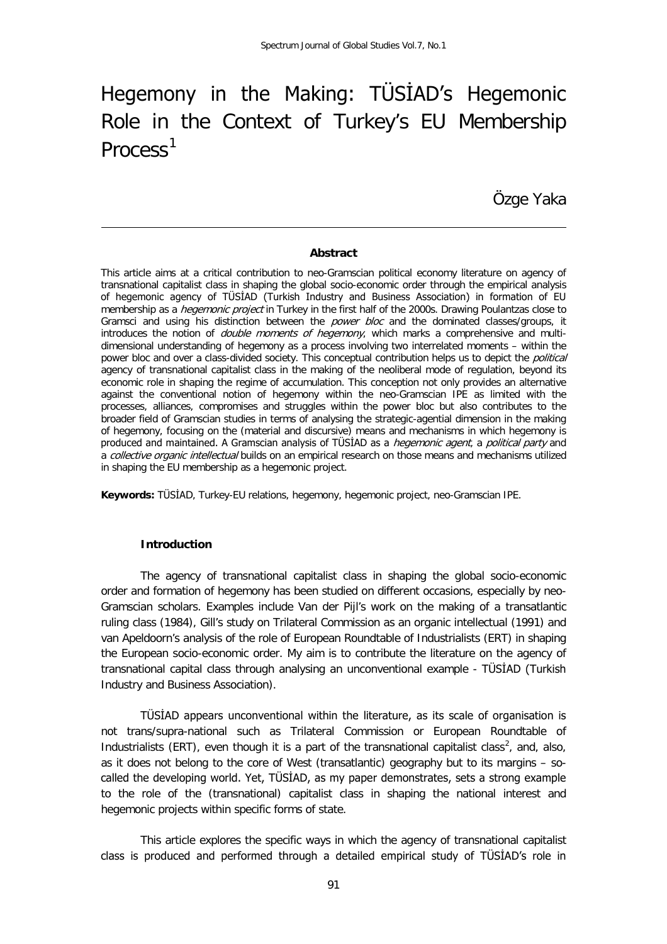# Hegemony in the Making: TÜSİAD's Hegemonic Role in the Context of Turkey's EU Membership Process<sup>[1](#page-17-0)</sup>

Özge Yaka

#### **Abstract**

This article aims at a critical contribution to neo-Gramscian political economy literature on agency of transnational capitalist class in shaping the global socio-economic order through the empirical analysis of hegemonic agency of TÜSİAD (Turkish Industry and Business Association) in formation of EU membership as a *hegemonic project* in Turkey in the first half of the 2000s. Drawing Poulantzas close to Gramsci and using his distinction between the *power bloc* and the dominated classes/groups, it introduces the notion of *double moments of hegemony*, which marks a comprehensive and multidimensional understanding of hegemony as a process involving two interrelated moments – within the power bloc and over a class-divided society. This conceptual contribution helps us to depict the *political* agency of transnational capitalist class in the making of the neoliberal mode of regulation, beyond its economic role in shaping the regime of accumulation. This conception not only provides an alternative against the conventional notion of hegemony within the neo-Gramscian IPE as limited with the processes, alliances, compromises and struggles within the power bloc but also contributes to the broader field of Gramscian studies in terms of analysing the strategic-agential dimension in the making of hegemony, focusing on the (material and discursive) means and mechanisms in which hegemony is produced and maintained. A Gramscian analysis of TÜSİAD as a *hegemonic agent*, a *political party* and a *collective organic intellectual* builds on an empirical research on those means and mechanisms utilized in shaping the EU membership as a hegemonic project.

**Keywords:** TÜSİAD, Turkey-EU relations, hegemony, hegemonic project, neo-Gramscian IPE.

## **Introduction**

The agency of transnational capitalist class in shaping the global socio-economic order and formation of hegemony has been studied on different occasions, especially by neo-Gramscian scholars. Examples include Van der Pijl's work on the making of a transatlantic ruling class (1984), Gill's study on Trilateral Commission as an organic intellectual (1991) and van Apeldoorn's analysis of the role of European Roundtable of Industrialists (ERT) in shaping the European socio-economic order. My aim is to contribute the literature on the agency of transnational capital class through analysing an unconventional example - TÜSİAD (Turkish Industry and Business Association).

TÜSİAD appears unconventional within the literature, as its scale of organisation is not trans/supra-national such as Trilateral Commission or European Roundtable of Industrialists (ERT), even though it is a part of the transnational capitalist class<sup>[2](#page-17-1)</sup>, and, also, as it does not belong to the core of West (transatlantic) geography but to its margins – socalled the developing world. Yet, TÜSİAD, as my paper demonstrates, sets a strong example to the role of the (transnational) capitalist class in shaping the national interest and hegemonic projects within specific forms of state.

This article explores the specific ways in which the agency of transnational capitalist class is produced and performed through a detailed empirical study of TÜSİAD's role in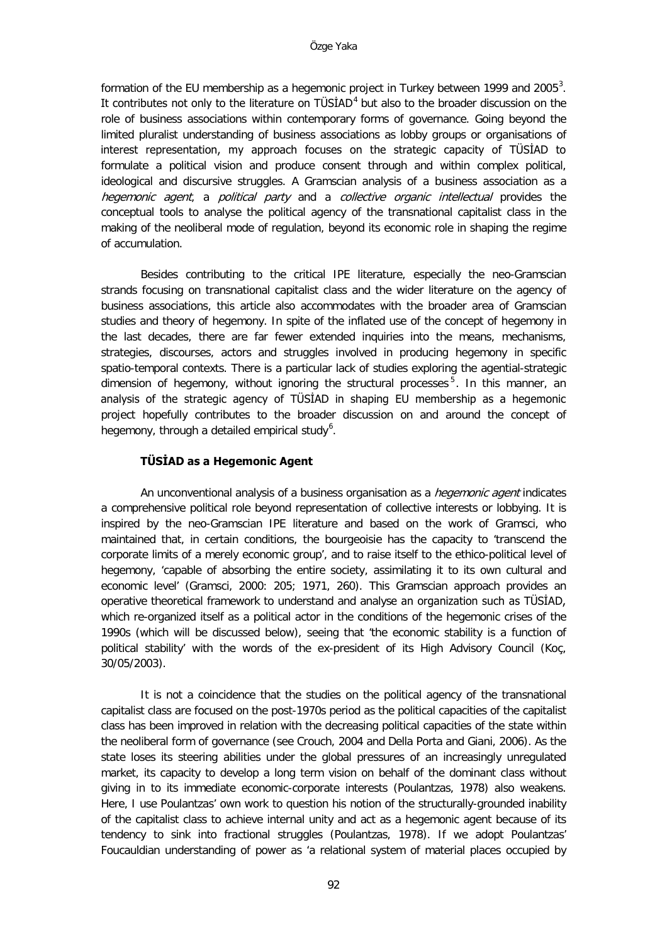formation of the EU membership as a hegemonic project in Turkey between 1999 and 2005 $^3$  $^3$ . It contributes not only to the literature on  $TÜSIAD<sup>4</sup>$  $TÜSIAD<sup>4</sup>$  $TÜSIAD<sup>4</sup>$  but also to the broader discussion on the role of business associations within contemporary forms of governance. Going beyond the limited pluralist understanding of business associations as lobby groups or organisations of interest representation, my approach focuses on the strategic capacity of TÜSİAD to formulate a political vision and produce consent through and within complex political, ideological and discursive struggles. A Gramscian analysis of a business association as a hegemonic agent, a political party and a collective organic intellectual provides the conceptual tools to analyse the political agency of the transnational capitalist class in the making of the neoliberal mode of regulation, beyond its economic role in shaping the regime of accumulation.

Besides contributing to the critical IPE literature, especially the neo-Gramscian strands focusing on transnational capitalist class and the wider literature on the agency of business associations, this article also accommodates with the broader area of Gramscian studies and theory of hegemony. In spite of the inflated use of the concept of hegemony in the last decades, there are far fewer extended inquiries into the means, mechanisms, strategies, discourses, actors and struggles involved in producing hegemony in specific spatio-temporal contexts. There is a particular lack of studies exploring the agential-strategic dimension of hegemony, without ignoring the structural processes<sup>[5](#page-18-2)</sup>. In this manner, an analysis of the strategic agency of TÜSİAD in shaping EU membership as a hegemonic project hopefully contributes to the broader discussion on and around the concept of hegemony, through a detailed empirical study<sup>[6](#page-18-3)</sup>.

#### **TÜSİAD as a Hegemonic Agent**

An unconventional analysis of a business organisation as a *hegemonic agent* indicates a comprehensive political role beyond representation of collective interests or lobbying. It is inspired by the neo-Gramscian IPE literature and based on the work of Gramsci, who maintained that, in certain conditions, the bourgeoisie has the capacity to 'transcend the corporate limits of a merely economic group', and to raise itself to the ethico-political level of hegemony, 'capable of absorbing the entire society, assimilating it to its own cultural and economic level' (Gramsci, 2000: 205; 1971, 260). This Gramscian approach provides an operative theoretical framework to understand and analyse an organization such as TÜSİAD, which re-organized itself as a political actor in the conditions of the hegemonic crises of the 1990s (which will be discussed below), seeing that 'the economic stability is a function of political stability' with the words of the ex-president of its High Advisory Council (Koç, 30/05/2003).

It is not a coincidence that the studies on the political agency of the transnational capitalist class are focused on the post-1970s period as the political capacities of the capitalist class has been improved in relation with the decreasing political capacities of the state within the neoliberal form of governance (see Crouch, 2004 and Della Porta and Giani, 2006). As the state loses its steering abilities under the global pressures of an increasingly unregulated market, its capacity to develop a long term vision on behalf of the dominant class without giving in to its immediate economic-corporate interests (Poulantzas, 1978) also weakens. Here, I use Poulantzas' own work to question his notion of the structurally-grounded inability of the capitalist class to achieve internal unity and act as a hegemonic agent because of its tendency to sink into fractional struggles (Poulantzas, 1978). If we adopt Poulantzas' Foucauldian understanding of power as 'a relational system of material places occupied by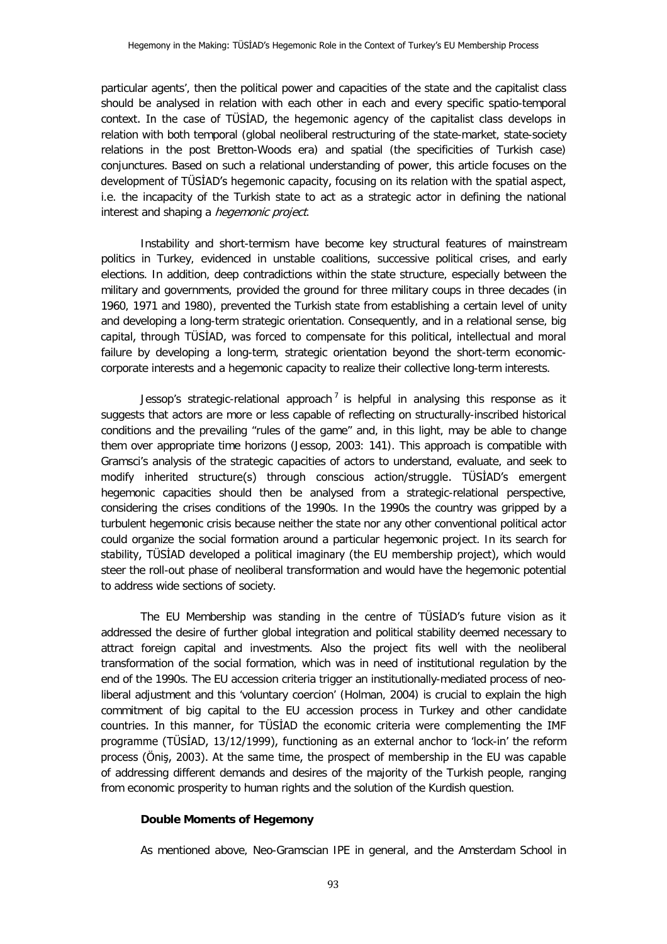particular agents', then the political power and capacities of the state and the capitalist class should be analysed in relation with each other in each and every specific spatio-temporal context. In the case of TÜSİAD, the hegemonic agency of the capitalist class develops in relation with both temporal (global neoliberal restructuring of the state-market, state-society relations in the post Bretton-Woods era) and spatial (the specificities of Turkish case) conjunctures. Based on such a relational understanding of power, this article focuses on the development of TÜSİAD's hegemonic capacity, focusing on its relation with the spatial aspect, i.e. the incapacity of the Turkish state to act as a strategic actor in defining the national interest and shaping a *hegemonic project*.

Instability and short-termism have become key structural features of mainstream politics in Turkey, evidenced in unstable coalitions, successive political crises, and early elections. In addition, deep contradictions within the state structure, especially between the military and governments, provided the ground for three military coups in three decades (in 1960, 1971 and 1980), prevented the Turkish state from establishing a certain level of unity and developing a long-term strategic orientation. Consequently, and in a relational sense, big capital, through TÜSİAD, was forced to compensate for this political, intellectual and moral failure by developing a long-term, strategic orientation beyond the short-term economiccorporate interests and a hegemonic capacity to realize their collective long-term interests.

Jessop's strategic-relational approach<sup>[7](#page-19-0)</sup> is helpful in analysing this response as it suggests that actors are more or less capable of reflecting on structurally-inscribed historical conditions and the prevailing "rules of the game" and, in this light, may be able to change them over appropriate time horizons (Jessop, 2003: 141). This approach is compatible with Gramsci's analysis of the strategic capacities of actors to understand, evaluate, and seek to modify inherited structure(s) through conscious action/struggle. TÜSİAD's emergent hegemonic capacities should then be analysed from a strategic-relational perspective, considering the crises conditions of the 1990s. In the 1990s the country was gripped by a turbulent hegemonic crisis because neither the state nor any other conventional political actor could organize the social formation around a particular hegemonic project. In its search for stability, TÜSİAD developed a political imaginary (the EU membership project), which would steer the roll-out phase of neoliberal transformation and would have the hegemonic potential to address wide sections of society.

The EU Membership was standing in the centre of TÜSİAD's future vision as it addressed the desire of further global integration and political stability deemed necessary to attract foreign capital and investments. Also the project fits well with the neoliberal transformation of the social formation, which was in need of institutional regulation by the end of the 1990s. The EU accession criteria trigger an institutionally-mediated process of neoliberal adjustment and this 'voluntary coercion' (Holman, 2004) is crucial to explain the high commitment of big capital to the EU accession process in Turkey and other candidate countries. In this manner, for TÜSİAD the economic criteria were complementing the IMF programme (TÜSİAD, 13/12/1999), functioning as an external anchor to 'lock-in' the reform process (Öniş, 2003). At the same time, the prospect of membership in the EU was capable of addressing different demands and desires of the majority of the Turkish people, ranging from economic prosperity to human rights and the solution of the Kurdish question.

## **Double Moments of Hegemony**

As mentioned above, Neo-Gramscian IPE in general, and the Amsterdam School in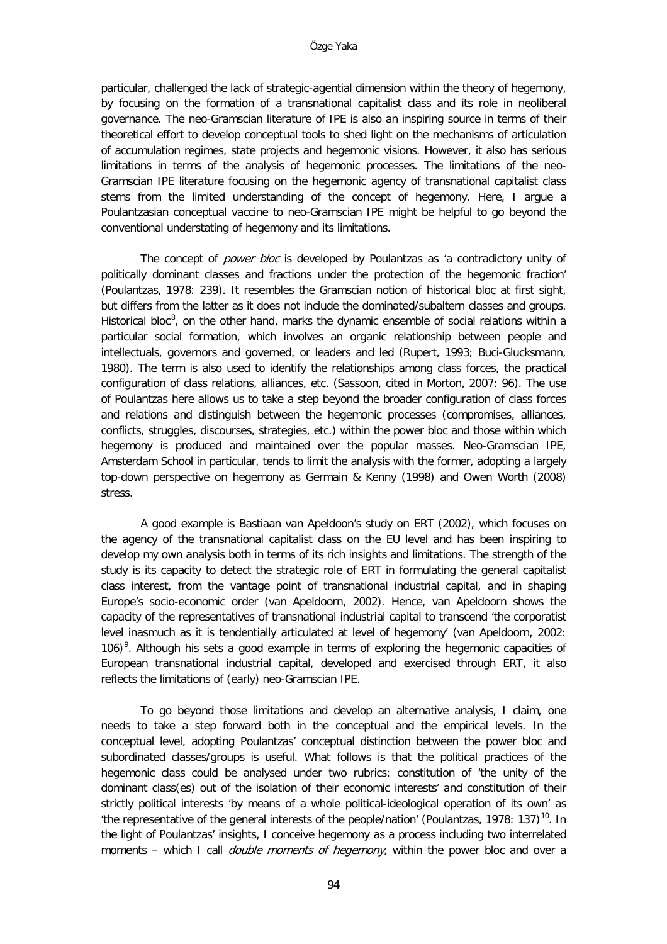particular, challenged the lack of strategic-agential dimension within the theory of hegemony, by focusing on the formation of a transnational capitalist class and its role in neoliberal governance. The neo-Gramscian literature of IPE is also an inspiring source in terms of their theoretical effort to develop conceptual tools to shed light on the mechanisms of articulation of accumulation regimes, state projects and hegemonic visions. However, it also has serious limitations in terms of the analysis of hegemonic processes. The limitations of the neo-Gramscian IPE literature focusing on the hegemonic agency of transnational capitalist class stems from the limited understanding of the concept of hegemony. Here, I argue a Poulantzasian conceptual vaccine to neo-Gramscian IPE might be helpful to go beyond the conventional understating of hegemony and its limitations.

The concept of *power bloc* is developed by Poulantzas as 'a contradictory unity of politically dominant classes and fractions under the protection of the hegemonic fraction' (Poulantzas, 1978: 239). It resembles the Gramscian notion of historical bloc at first sight, but differs from the latter as it does not include the dominated/subaltern classes and groups. Historical bloc<sup>[8](#page-20-0)</sup>, on the other hand, marks the dynamic ensemble of social relations within a particular social formation, which involves an organic relationship between people and intellectuals, governors and governed, or leaders and led (Rupert, 1993; Buci-Glucksmann, 1980). The term is also used to identify the relationships among class forces, the practical configuration of class relations, alliances, etc. (Sassoon, cited in Morton, 2007: 96). The use of Poulantzas here allows us to take a step beyond the broader configuration of class forces and relations and distinguish between the hegemonic processes (compromises, alliances, conflicts, struggles, discourses, strategies, etc.) within the power bloc and those within which hegemony is produced and maintained over the popular masses. Neo-Gramscian IPE, Amsterdam School in particular, tends to limit the analysis with the former, adopting a largely top-down perspective on hegemony as Germain & Kenny (1998) and Owen Worth (2008) stress.

A good example is Bastiaan van Apeldoon's study on ERT (2002), which focuses on the agency of the transnational capitalist class on the EU level and has been inspiring to develop my own analysis both in terms of its rich insights and limitations. The strength of the study is its capacity to detect the strategic role of ERT in formulating the general capitalist class interest, from the vantage point of transnational industrial capital, and in shaping Europe's socio-economic order (van Apeldoorn, 2002). Hence, van Apeldoorn shows the capacity of the representatives of transnational industrial capital to transcend 'the corporatist level inasmuch as it is tendentially articulated at level of hegemony' (van Apeldoorn, 2002: 106)<sup>[9](#page-20-1)</sup>. Although his sets a good example in terms of exploring the hegemonic capacities of European transnational industrial capital, developed and exercised through ERT, it also reflects the limitations of (early) neo-Gramscian IPE.

To go beyond those limitations and develop an alternative analysis, I claim, one needs to take a step forward both in the conceptual and the empirical levels. In the conceptual level, adopting Poulantzas' conceptual distinction between the power bloc and subordinated classes/groups is useful. What follows is that the political practices of the hegemonic class could be analysed under two rubrics: constitution of 'the unity of the dominant class(es) out of the isolation of their economic interests' and constitution of their strictly political interests 'by means of a whole political-ideological operation of its own' as 'the representative of the general interests of the people/nation' (Poulantzas, 1978: 137)<sup>[10](#page-20-2)</sup>. In the light of Poulantzas' insights, I conceive hegemony as a process including two interrelated moments – which I call *double moments of hegemony*, within the power bloc and over a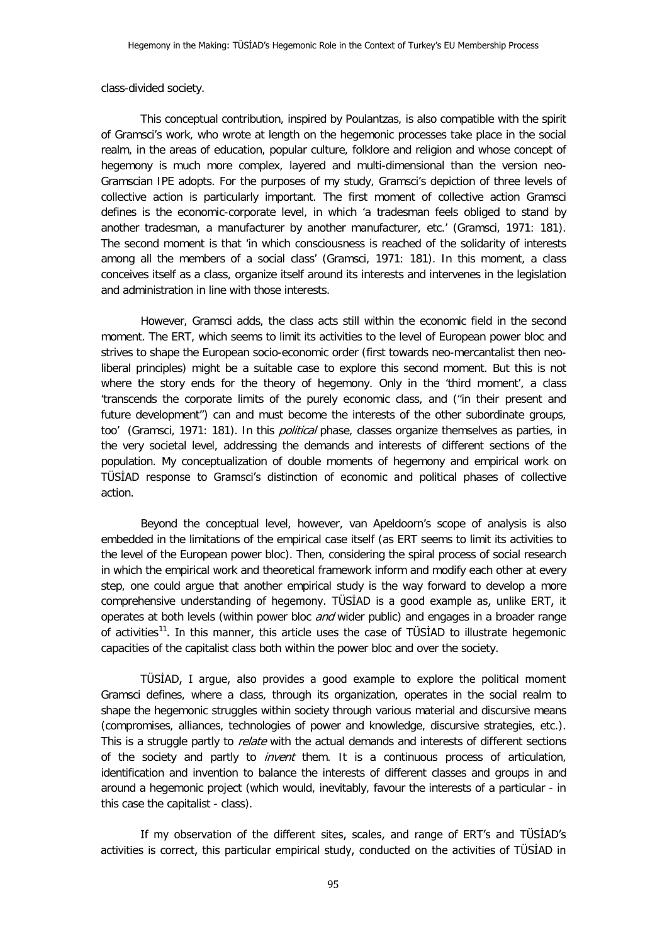class-divided society.

This conceptual contribution, inspired by Poulantzas, is also compatible with the spirit of Gramsci's work, who wrote at length on the hegemonic processes take place in the social realm, in the areas of education, popular culture, folklore and religion and whose concept of hegemony is much more complex, layered and multi-dimensional than the version neo-Gramscian IPE adopts. For the purposes of my study, Gramsci's depiction of three levels of collective action is particularly important. The first moment of collective action Gramsci defines is the economic-corporate level, in which 'a tradesman feels obliged to stand by another tradesman, a manufacturer by another manufacturer, etc.' (Gramsci, 1971: 181). The second moment is that 'in which consciousness is reached of the solidarity of interests among all the members of a social class' (Gramsci, 1971: 181). In this moment, a class conceives itself as a class, organize itself around its interests and intervenes in the legislation and administration in line with those interests.

However, Gramsci adds, the class acts still within the economic field in the second moment. The ERT, which seems to limit its activities to the level of European power bloc and strives to shape the European socio-economic order (first towards neo-mercantalist then neoliberal principles) might be a suitable case to explore this second moment. But this is not where the story ends for the theory of hegemony. Only in the 'third moment', a class 'transcends the corporate limits of the purely economic class, and ("in their present and future development") can and must become the interests of the other subordinate groups, too' (Gramsci, 1971: 181). In this *political* phase, classes organize themselves as parties, in the very societal level, addressing the demands and interests of different sections of the population. My conceptualization of double moments of hegemony and empirical work on TÜSİAD response to Gramsci's distinction of economic and political phases of collective action.

Beyond the conceptual level, however, van Apeldoorn's scope of analysis is also embedded in the limitations of the empirical case itself (as ERT seems to limit its activities to the level of the European power bloc). Then, considering the spiral process of social research in which the empirical work and theoretical framework inform and modify each other at every step, one could argue that another empirical study is the way forward to develop a more comprehensive understanding of hegemony. TÜSİAD is a good example as, unlike ERT, it operates at both levels (within power bloc and wider public) and engages in a broader range of activities<sup>[11](#page-21-0)</sup>. In this manner, this article uses the case of TÜSIAD to illustrate hegemonic capacities of the capitalist class both within the power bloc and over the society.

TÜSİAD, I argue, also provides a good example to explore the political moment Gramsci defines, where a class, through its organization, operates in the social realm to shape the hegemonic struggles within society through various material and discursive means (compromises, alliances, technologies of power and knowledge, discursive strategies, etc.). This is a struggle partly to *relate* with the actual demands and interests of different sections of the society and partly to *invent* them. It is a continuous process of articulation, identification and invention to balance the interests of different classes and groups in and around a hegemonic project (which would, inevitably, favour the interests of a particular - in this case the capitalist - class).

If my observation of the different sites, scales, and range of ERT's and TÜSİAD's activities is correct, this particular empirical study, conducted on the activities of TÜSİAD in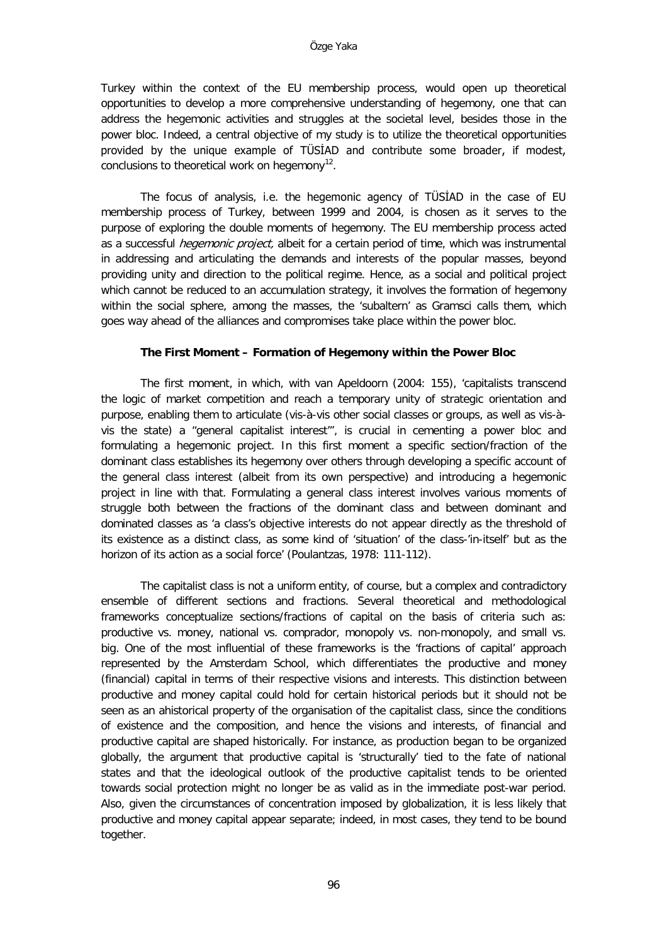Turkey within the context of the EU membership process, would open up theoretical opportunities to develop a more comprehensive understanding of hegemony, one that can address the hegemonic activities and struggles at the societal level, besides those in the power bloc. Indeed, a central objective of my study is to utilize the theoretical opportunities provided by the unique example of TÜSİAD and contribute some broader, if modest, conclusions to theoretical work on hegemony $^{12}$ .

The focus of analysis, i.e. the hegemonic agency of TÜSİAD in the case of EU membership process of Turkey, between 1999 and 2004, is chosen as it serves to the purpose of exploring the double moments of hegemony. The EU membership process acted as a successful *hegemonic project*, albeit for a certain period of time, which was instrumental in addressing and articulating the demands and interests of the popular masses, beyond providing unity and direction to the political regime. Hence, as a social and political project which cannot be reduced to an accumulation strategy, it involves the formation of hegemony within the social sphere, among the masses, the 'subaltern' as Gramsci calls them, which goes way ahead of the alliances and compromises take place within the power bloc.

#### **The First Moment – Formation of Hegemony within the Power Bloc**

The first moment, in which, with van Apeldoorn (2004: 155), 'capitalists transcend the logic of market competition and reach a temporary unity of strategic orientation and purpose, enabling them to articulate (vis-à-vis other social classes or groups, as well as vis-àvis the state) a "general capitalist interest"', is crucial in cementing a power bloc and formulating a hegemonic project. In this first moment a specific section/fraction of the dominant class establishes its hegemony over others through developing a specific account of the general class interest (albeit from its own perspective) and introducing a hegemonic project in line with that. Formulating a general class interest involves various moments of struggle both between the fractions of the dominant class and between dominant and dominated classes as 'a class's objective interests do not appear directly as the threshold of its existence as a distinct class, as some kind of 'situation' of the class-'in-itself' but as the horizon of its action as a social force' (Poulantzas, 1978: 111-112).

The capitalist class is not a uniform entity, of course, but a complex and contradictory ensemble of different sections and fractions. Several theoretical and methodological frameworks conceptualize sections/fractions of capital on the basis of criteria such as: productive vs. money, national vs. comprador, monopoly vs. non-monopoly, and small vs. big. One of the most influential of these frameworks is the 'fractions of capital' approach represented by the Amsterdam School, which differentiates the productive and money (financial) capital in terms of their respective visions and interests. This distinction between productive and money capital could hold for certain historical periods but it should not be seen as an ahistorical property of the organisation of the capitalist class, since the conditions of existence and the composition, and hence the visions and interests, of financial and productive capital are shaped historically. For instance, as production began to be organized globally, the argument that productive capital is 'structurally' tied to the fate of national states and that the ideological outlook of the productive capitalist tends to be oriented towards social protection might no longer be as valid as in the immediate post-war period. Also, given the circumstances of concentration imposed by globalization, it is less likely that productive and money capital appear separate; indeed, in most cases, they tend to be bound together.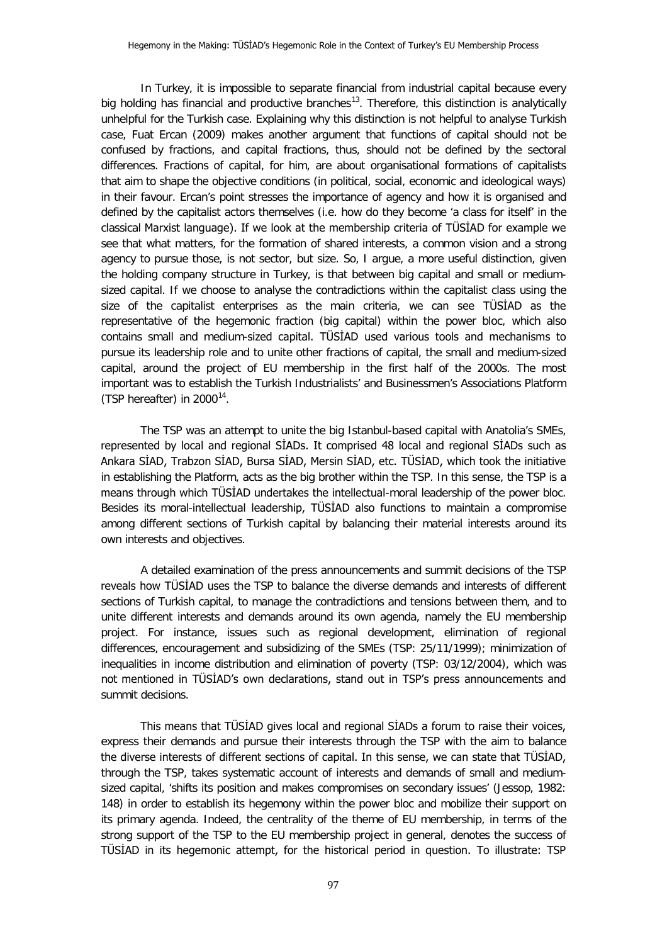In Turkey, it is impossible to separate financial from industrial capital because every big holding has financial and productive branches<sup>13</sup>. Therefore, this distinction is analytically unhelpful for the Turkish case. Explaining why this distinction is not helpful to analyse Turkish case, Fuat Ercan (2009) makes another argument that functions of capital should not be confused by fractions, and capital fractions, thus, should not be defined by the sectoral differences. Fractions of capital, for him, are about organisational formations of capitalists that aim to shape the objective conditions (in political, social, economic and ideological ways) in their favour. Ercan's point stresses the importance of agency and how it is organised and defined by the capitalist actors themselves (i.e. how do they become 'a class for itself' in the classical Marxist language). If we look at the membership criteria of TÜSİAD for example we see that what matters, for the formation of shared interests, a common vision and a strong agency to pursue those, is not sector, but size. So, I argue, a more useful distinction, given the holding company structure in Turkey, is that between big capital and small or mediumsized capital. If we choose to analyse the contradictions within the capitalist class using the size of the capitalist enterprises as the main criteria, we can see TÜSİAD as the representative of the hegemonic fraction (big capital) within the power bloc, which also contains small and medium-sized capital. TÜSİAD used various tools and mechanisms to pursue its leadership role and to unite other fractions of capital, the small and medium-sized capital, around the project of EU membership in the first half of the 2000s. The most important was to establish the Turkish Industrialists' and Businessmen's Associations Platform (TSP hereafter) in  $2000^{14}$  $2000^{14}$  $2000^{14}$ .

The TSP was an attempt to unite the big Istanbul-based capital with Anatolia's SMEs, represented by local and regional SİADs. It comprised 48 local and regional SİADs such as Ankara SİAD, Trabzon SİAD, Bursa SİAD, Mersin SİAD, etc. TÜSİAD, which took the initiative in establishing the Platform, acts as the big brother within the TSP. In this sense, the TSP is a means through which TÜSİAD undertakes the intellectual-moral leadership of the power bloc. Besides its moral-intellectual leadership, TÜSİAD also functions to maintain a compromise among different sections of Turkish capital by balancing their material interests around its own interests and objectives.

A detailed examination of the press announcements and summit decisions of the TSP reveals how TÜSİAD uses the TSP to balance the diverse demands and interests of different sections of Turkish capital, to manage the contradictions and tensions between them, and to unite different interests and demands around its own agenda, namely the EU membership project. For instance, issues such as regional development, elimination of regional differences, encouragement and subsidizing of the SMEs (TSP: 25/11/1999); minimization of inequalities in income distribution and elimination of poverty (TSP: 03/12/2004), which was not mentioned in TÜSİAD's own declarations, stand out in TSP's press announcements and summit decisions.

This means that TÜSİAD gives local and regional SİADs a forum to raise their voices, express their demands and pursue their interests through the TSP with the aim to balance the diverse interests of different sections of capital. In this sense, we can state that TÜSİAD, through the TSP, takes systematic account of interests and demands of small and mediumsized capital, 'shifts its position and makes compromises on secondary issues' (Jessop, 1982: 148) in order to establish its hegemony within the power bloc and mobilize their support on its primary agenda. Indeed, the centrality of the theme of EU membership, in terms of the strong support of the TSP to the EU membership project in general, denotes the success of TÜSİAD in its hegemonic attempt, for the historical period in question. To illustrate: TSP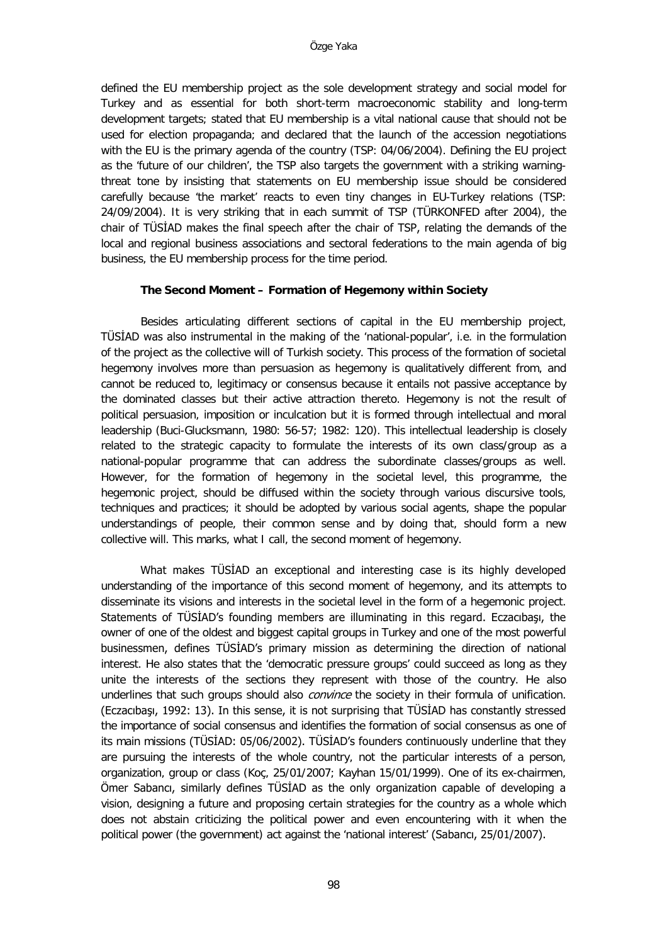defined the EU membership project as the sole development strategy and social model for Turkey and as essential for both short-term macroeconomic stability and long-term development targets; stated that EU membership is a vital national cause that should not be used for election propaganda; and declared that the launch of the accession negotiations with the EU is the primary agenda of the country (TSP: 04/06/2004). Defining the EU project as the 'future of our children', the TSP also targets the government with a striking warningthreat tone by insisting that statements on EU membership issue should be considered carefully because 'the market' reacts to even tiny changes in EU-Turkey relations (TSP: 24/09/2004). It is very striking that in each summit of TSP (TÜRKONFED after 2004), the chair of TÜSİAD makes the final speech after the chair of TSP, relating the demands of the local and regional business associations and sectoral federations to the main agenda of big business, the EU membership process for the time period.

## **The Second Moment – Formation of Hegemony within Society**

Besides articulating different sections of capital in the EU membership project, TÜSİAD was also instrumental in the making of the 'national-popular', i.e. in the formulation of the project as the collective will of Turkish society. This process of the formation of societal hegemony involves more than persuasion as hegemony is qualitatively different from, and cannot be reduced to, legitimacy or consensus because it entails not passive acceptance by the dominated classes but their active attraction thereto. Hegemony is not the result of political persuasion, imposition or inculcation but it is formed through intellectual and moral leadership (Buci-Glucksmann, 1980: 56-57; 1982: 120). This intellectual leadership is closely related to the strategic capacity to formulate the interests of its own class/group as a national-popular programme that can address the subordinate classes/groups as well. However, for the formation of hegemony in the societal level, this programme, the hegemonic project, should be diffused within the society through various discursive tools, techniques and practices; it should be adopted by various social agents, shape the popular understandings of people, their common sense and by doing that, should form a new collective will. This marks, what I call, the second moment of hegemony.

What makes TÜSİAD an exceptional and interesting case is its highly developed understanding of the importance of this second moment of hegemony, and its attempts to disseminate its visions and interests in the societal level in the form of a hegemonic project. Statements of TÜSİAD's founding members are illuminating in this regard. Eczacıbaşı, the owner of one of the oldest and biggest capital groups in Turkey and one of the most powerful businessmen, defines TÜSİAD's primary mission as determining the direction of national interest. He also states that the 'democratic pressure groups' could succeed as long as they unite the interests of the sections they represent with those of the country. He also underlines that such groups should also *convince* the society in their formula of unification. (Eczacıbaşı, 1992: 13). In this sense, it is not surprising that TÜSİAD has constantly stressed the importance of social consensus and identifies the formation of social consensus as one of its main missions (TÜSİAD: 05/06/2002). TÜSİAD's founders continuously underline that they are pursuing the interests of the whole country, not the particular interests of a person, organization, group or class (Koç, 25/01/2007; Kayhan 15/01/1999). One of its ex-chairmen, Ömer Sabancı, similarly defines TÜSİAD as the only organization capable of developing a vision, designing a future and proposing certain strategies for the country as a whole which does not abstain criticizing the political power and even encountering with it when the political power (the government) act against the 'national interest' (Sabancı, 25/01/2007).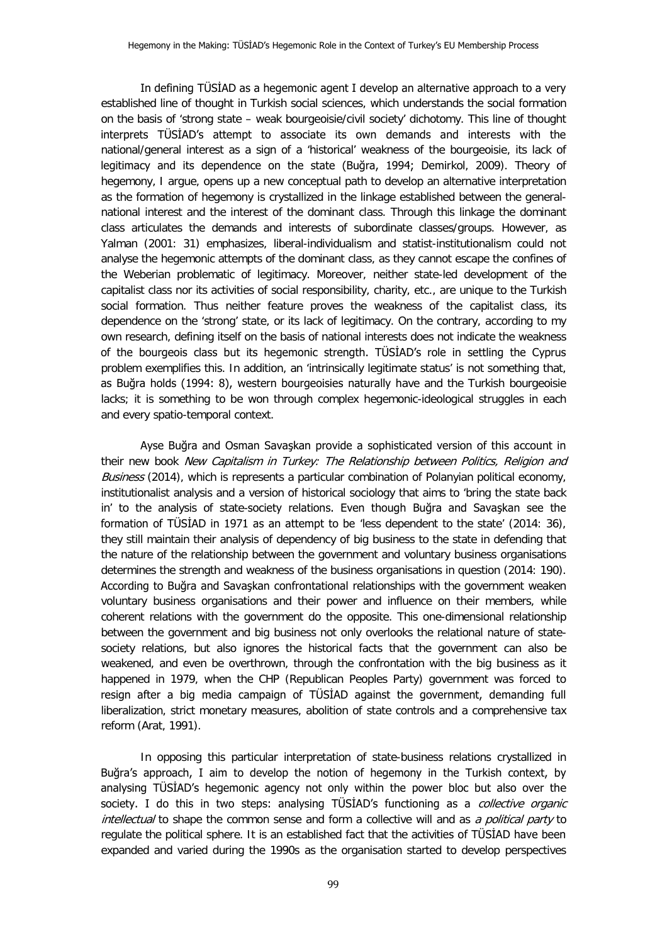In defining TÜSİAD as a hegemonic agent I develop an alternative approach to a very established line of thought in Turkish social sciences, which understands the social formation on the basis of 'strong state – weak bourgeoisie/civil society' dichotomy. This line of thought interprets TÜSİAD's attempt to associate its own demands and interests with the national/general interest as a sign of a 'historical' weakness of the bourgeoisie, its lack of legitimacy and its dependence on the state (Buğra, 1994; Demirkol, 2009). Theory of hegemony, I argue, opens up a new conceptual path to develop an alternative interpretation as the formation of hegemony is crystallized in the linkage established between the generalnational interest and the interest of the dominant class. Through this linkage the dominant class articulates the demands and interests of subordinate classes/groups. However, as Yalman (2001: 31) emphasizes, liberal-individualism and statist-institutionalism could not analyse the hegemonic attempts of the dominant class, as they cannot escape the confines of the Weberian problematic of legitimacy. Moreover, neither state-led development of the capitalist class nor its activities of social responsibility, charity, etc., are unique to the Turkish social formation. Thus neither feature proves the weakness of the capitalist class, its dependence on the 'strong' state, or its lack of legitimacy. On the contrary, according to my own research, defining itself on the basis of national interests does not indicate the weakness of the bourgeois class but its hegemonic strength. TÜSİAD's role in settling the Cyprus problem exemplifies this. In addition, an 'intrinsically legitimate status' is not something that, as Buğra holds (1994: 8), western bourgeoisies naturally have and the Turkish bourgeoisie lacks; it is something to be won through complex hegemonic-ideological struggles in each and every spatio-temporal context.

Ayse Buğra and Osman Savaşkan provide a sophisticated version of this account in their new book New Capitalism in Turkey: The Relationship between Politics, Religion and Business (2014), which is represents a particular combination of Polanyian political economy, institutionalist analysis and a version of historical sociology that aims to 'bring the state back in' to the analysis of state-society relations. Even though Buğra and Savaşkan see the formation of TÜSİAD in 1971 as an attempt to be 'less dependent to the state' (2014: 36), they still maintain their analysis of dependency of big business to the state in defending that the nature of the relationship between the government and voluntary business organisations determines the strength and weakness of the business organisations in question (2014: 190). According to Buğra and Savaşkan confrontational relationships with the government weaken voluntary business organisations and their power and influence on their members, while coherent relations with the government do the opposite. This one-dimensional relationship between the government and big business not only overlooks the relational nature of statesociety relations, but also ignores the historical facts that the government can also be weakened, and even be overthrown, through the confrontation with the big business as it happened in 1979, when the CHP (Republican Peoples Party) government was forced to resign after a big media campaign of TÜSİAD against the government, demanding full liberalization, strict monetary measures, abolition of state controls and a comprehensive tax reform (Arat, 1991).

In opposing this particular interpretation of state-business relations crystallized in Buğra's approach, I aim to develop the notion of hegemony in the Turkish context, by analysing TÜSİAD's hegemonic agency not only within the power bloc but also over the society. I do this in two steps: analysing TÜSİAD's functioning as a *collective organic* intellectual to shape the common sense and form a collective will and as a political party to regulate the political sphere. It is an established fact that the activities of TÜSİAD have been expanded and varied during the 1990s as the organisation started to develop perspectives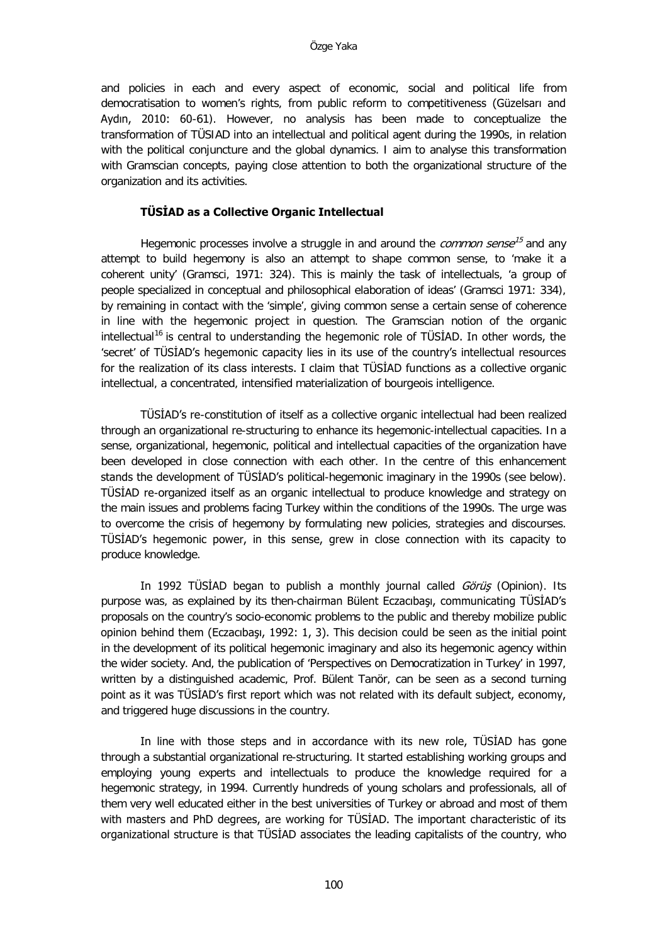and policies in each and every aspect of economic, social and political life from democratisation to women's rights, from public reform to competitiveness (Güzelsarı and Aydın, 2010: 60-61). However, no analysis has been made to conceptualize the transformation of TÜSIAD into an intellectual and political agent during the 1990s, in relation with the political conjuncture and the global dynamics. I aim to analyse this transformation with Gramscian concepts, paying close attention to both the organizational structure of the organization and its activities.

# **TÜSİAD as a Collective Organic Intellectual**

Hegemonic processes involve a struggle in and around the *common sense*<sup>[15](#page-23-2)</sup> and any attempt to build hegemony is also an attempt to shape common sense, to 'make it a coherent unity' (Gramsci, 1971: 324). This is mainly the task of intellectuals, 'a group of people specialized in conceptual and philosophical elaboration of ideas' (Gramsci 1971: 334), by remaining in contact with the 'simple', giving common sense a certain sense of coherence in line with the hegemonic project in question. The Gramscian notion of the organic intellectual<sup>[16](#page-23-3)</sup> is central to understanding the hegemonic role of TÜSİAD. In other words, the 'secret' of TÜSİAD's hegemonic capacity lies in its use of the country's intellectual resources for the realization of its class interests. I claim that TÜSİAD functions as a collective organic intellectual, a concentrated, intensified materialization of bourgeois intelligence.

TÜSİAD's re-constitution of itself as a collective organic intellectual had been realized through an organizational re-structuring to enhance its hegemonic-intellectual capacities. In a sense, organizational, hegemonic, political and intellectual capacities of the organization have been developed in close connection with each other. In the centre of this enhancement stands the development of TÜSİAD's political-hegemonic imaginary in the 1990s (see below). TÜSİAD re-organized itself as an organic intellectual to produce knowledge and strategy on the main issues and problems facing Turkey within the conditions of the 1990s. The urge was to overcome the crisis of hegemony by formulating new policies, strategies and discourses. TÜSİAD's hegemonic power, in this sense, grew in close connection with its capacity to produce knowledge.

In 1992 TÜSİAD began to publish a monthly journal called Görüş (Opinion). Its purpose was, as explained by its then-chairman Bülent Eczacıbaşı, communicating TÜSİAD's proposals on the country's socio-economic problems to the public and thereby mobilize public opinion behind them (Eczacıbaşı, 1992: 1, 3). This decision could be seen as the initial point in the development of its political hegemonic imaginary and also its hegemonic agency within the wider society. And, the publication of 'Perspectives on Democratization in Turkey' in 1997, written by a distinguished academic, Prof. Bülent Tanör, can be seen as a second turning point as it was TÜSİAD's first report which was not related with its default subject, economy, and triggered huge discussions in the country.

In line with those steps and in accordance with its new role, TÜSİAD has gone through a substantial organizational re-structuring. It started establishing working groups and employing young experts and intellectuals to produce the knowledge required for a hegemonic strategy, in 1994. Currently hundreds of young scholars and professionals, all of them very well educated either in the best universities of Turkey or abroad and most of them with masters and PhD degrees, are working for TÜSİAD. The important characteristic of its organizational structure is that TÜSİAD associates the leading capitalists of the country, who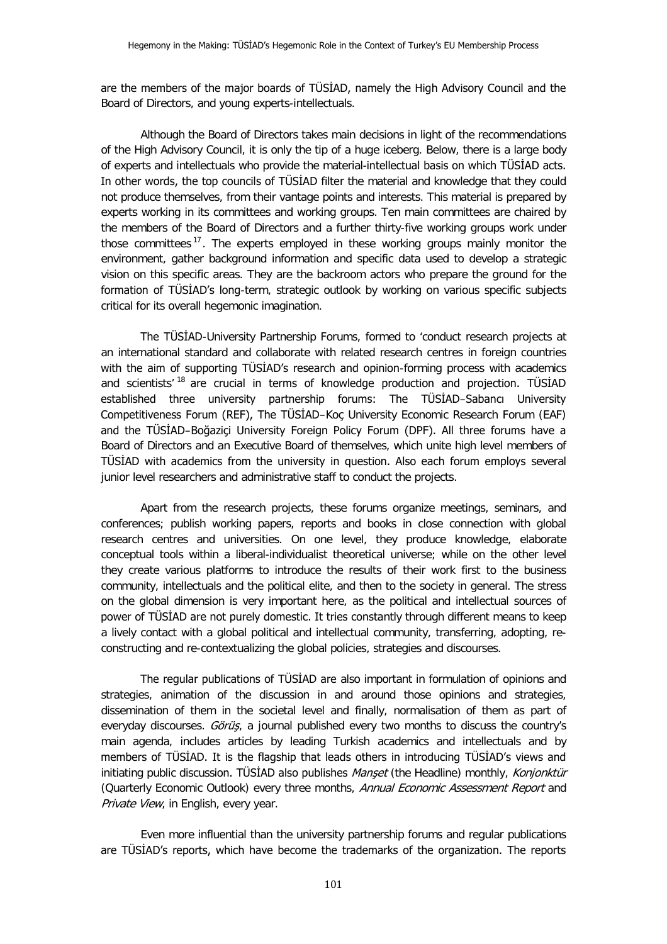are the members of the major boards of TÜSİAD, namely the High Advisory Council and the Board of Directors, and young experts-intellectuals.

Although the Board of Directors takes main decisions in light of the recommendations of the High Advisory Council, it is only the tip of a huge iceberg. Below, there is a large body of experts and intellectuals who provide the material-intellectual basis on which TÜSİAD acts. In other words, the top councils of TÜSİAD filter the material and knowledge that they could not produce themselves, from their vantage points and interests. This material is prepared by experts working in its committees and working groups. Ten main committees are chaired by the members of the Board of Directors and a further thirty-five working groups work under those committees<sup>[17](#page-23-4)</sup>. The experts employed in these working groups mainly monitor the environment, gather background information and specific data used to develop a strategic vision on this specific areas. They are the backroom actors who prepare the ground for the formation of TÜSİAD's long-term, strategic outlook by working on various specific subjects critical for its overall hegemonic imagination.

The TÜSİAD-University Partnership Forums, formed to 'conduct research projects at an international standard and collaborate with related research centres in foreign countries with the aim of supporting TÜSİAD's research and opinion-forming process with academics and scientists'  $18$  are crucial in terms of knowledge production and projection. TUSIAD established three university partnership forums: The TÜSİAD–Sabancı University Competitiveness Forum (REF), The TÜSİAD–Koç University Economic Research Forum (EAF) and the TÜSİAD–Boğaziçi University Foreign Policy Forum (DPF). All three forums have a Board of Directors and an Executive Board of themselves, which unite high level members of TÜSİAD with academics from the university in question. Also each forum employs several junior level researchers and administrative staff to conduct the projects.

Apart from the research projects, these forums organize meetings, seminars, and conferences; publish working papers, reports and books in close connection with global research centres and universities. On one level, they produce knowledge, elaborate conceptual tools within a liberal-individualist theoretical universe; while on the other level they create various platforms to introduce the results of their work first to the business community, intellectuals and the political elite, and then to the society in general. The stress on the global dimension is very important here, as the political and intellectual sources of power of TÜSİAD are not purely domestic. It tries constantly through different means to keep a lively contact with a global political and intellectual community, transferring, adopting, reconstructing and re-contextualizing the global policies, strategies and discourses.

The regular publications of TÜSİAD are also important in formulation of opinions and strategies, animation of the discussion in and around those opinions and strategies, dissemination of them in the societal level and finally, normalisation of them as part of everyday discourses. Görüş, a journal published every two months to discuss the country's main agenda, includes articles by leading Turkish academics and intellectuals and by members of TÜSİAD. It is the flagship that leads others in introducing TÜSİAD's views and initiating public discussion. TÜSİAD also publishes Manset (the Headline) monthly, Konjonktür (Quarterly Economic Outlook) every three months, Annual Economic Assessment Report and Private View, in English, every year.

Even more influential than the university partnership forums and regular publications are TÜSİAD's reports, which have become the trademarks of the organization. The reports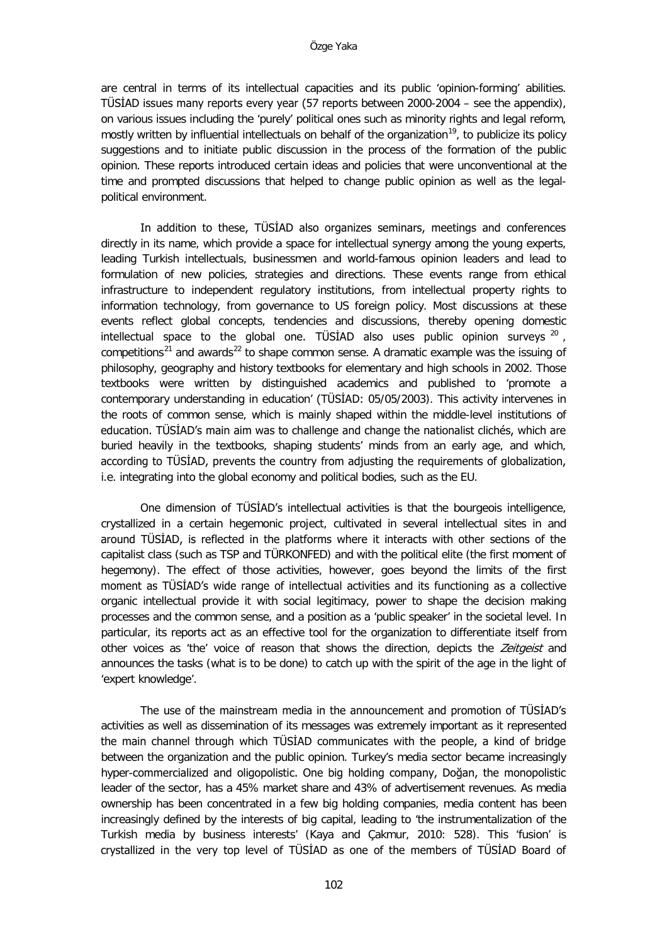are central in terms of its intellectual capacities and its public 'opinion-forming' abilities. TÜSİAD issues many reports every year (57 reports between 2000-2004 – see the appendix), on various issues including the 'purely' political ones such as minority rights and legal reform, mostly written by influential intellectuals on behalf of the organization<sup>19</sup>, to publicize its policy suggestions and to initiate public discussion in the process of the formation of the public opinion. These reports introduced certain ideas and policies that were unconventional at the time and prompted discussions that helped to change public opinion as well as the legalpolitical environment.

In addition to these, TÜSİAD also organizes seminars, meetings and conferences directly in its name, which provide a space for intellectual synergy among the young experts, leading Turkish intellectuals, businessmen and world-famous opinion leaders and lead to formulation of new policies, strategies and directions. These events range from ethical infrastructure to independent regulatory institutions, from intellectual property rights to information technology, from governance to US foreign policy. Most discussions at these events reflect global concepts, tendencies and discussions, thereby opening domestic intellectual space to the global one. TÜSİAD also uses public opinion surveys  $^{20}$  $^{20}$  $^{20}$ , competitions<sup>[21](#page-23-8)</sup> and awards<sup>[22](#page-23-9)</sup> to shape common sense. A dramatic example was the issuing of philosophy, geography and history textbooks for elementary and high schools in 2002. Those textbooks were written by distinguished academics and published to 'promote a contemporary understanding in education' (TÜSİAD: 05/05/2003). This activity intervenes in the roots of common sense, which is mainly shaped within the middle-level institutions of education. TÜSİAD's main aim was to challenge and change the nationalist clichés, which are buried heavily in the textbooks, shaping students' minds from an early age, and which, according to TÜSİAD, prevents the country from adjusting the requirements of globalization, i.e. integrating into the global economy and political bodies, such as the EU.

One dimension of TÜSİAD's intellectual activities is that the bourgeois intelligence, crystallized in a certain hegemonic project, cultivated in several intellectual sites in and around TÜSİAD, is reflected in the platforms where it interacts with other sections of the capitalist class (such as TSP and TÜRKONFED) and with the political elite (the first moment of hegemony). The effect of those activities, however, goes beyond the limits of the first moment as TÜSİAD's wide range of intellectual activities and its functioning as a collective organic intellectual provide it with social legitimacy, power to shape the decision making processes and the common sense, and a position as a 'public speaker' in the societal level. In particular, its reports act as an effective tool for the organization to differentiate itself from other voices as 'the' voice of reason that shows the direction, depicts the Zeitgeist and announces the tasks (what is to be done) to catch up with the spirit of the age in the light of 'expert knowledge'.

The use of the mainstream media in the announcement and promotion of TÜSİAD's activities as well as dissemination of its messages was extremely important as it represented the main channel through which TÜSİAD communicates with the people, a kind of bridge between the organization and the public opinion. Turkey's media sector became increasingly hyper-commercialized and oligopolistic. One big holding company, Doğan, the monopolistic leader of the sector, has a 45% market share and 43% of advertisement revenues. As media ownership has been concentrated in a few big holding companies, media content has been increasingly defined by the interests of big capital, leading to 'the instrumentalization of the Turkish media by business interests' (Kaya and Çakmur, 2010: 528). This 'fusion' is crystallized in the very top level of TÜSİAD as one of the members of TÜSİAD Board of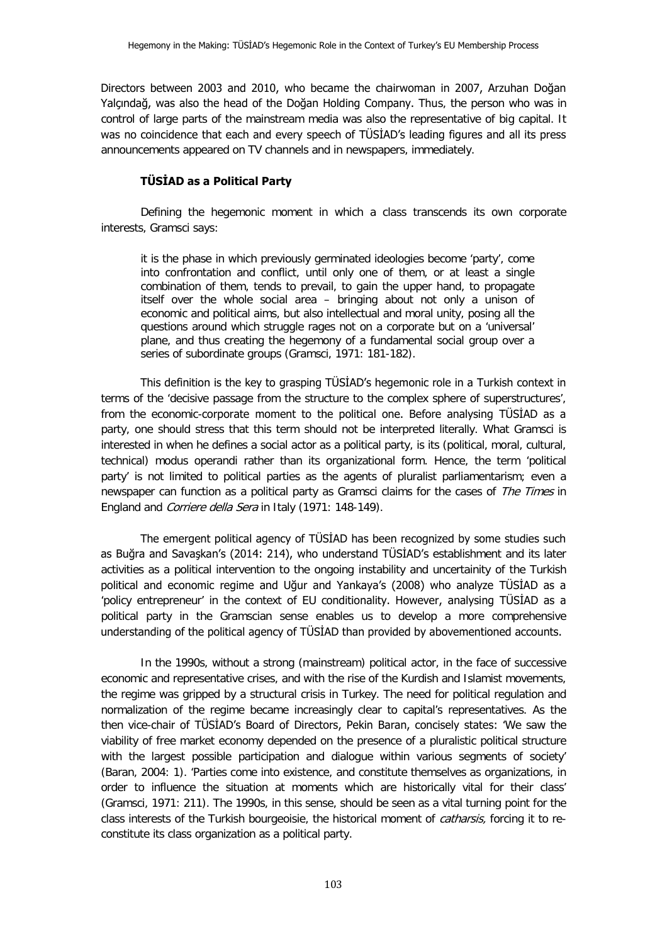Directors between 2003 and 2010, who became the chairwoman in 2007, Arzuhan Doğan Yalçındağ, was also the head of the Doğan Holding Company. Thus, the person who was in control of large parts of the mainstream media was also the representative of big capital. It was no coincidence that each and every speech of TÜSİAD's leading figures and all its press announcements appeared on TV channels and in newspapers, immediately.

# **TÜSİAD as a Political Party**

Defining the hegemonic moment in which a class transcends its own corporate interests, Gramsci says:

it is the phase in which previously germinated ideologies become 'party', come into confrontation and conflict, until only one of them, or at least a single combination of them, tends to prevail, to gain the upper hand, to propagate itself over the whole social area – bringing about not only a unison of economic and political aims, but also intellectual and moral unity, posing all the questions around which struggle rages not on a corporate but on a 'universal' plane, and thus creating the hegemony of a fundamental social group over a series of subordinate groups (Gramsci, 1971: 181-182).

This definition is the key to grasping TÜSİAD's hegemonic role in a Turkish context in terms of the 'decisive passage from the structure to the complex sphere of superstructures', from the economic-corporate moment to the political one. Before analysing TÜSİAD as a party, one should stress that this term should not be interpreted literally. What Gramsci is interested in when he defines a social actor as a political party, is its (political, moral, cultural, technical) modus operandi rather than its organizational form. Hence, the term 'political party' is not limited to political parties as the agents of pluralist parliamentarism; even a newspaper can function as a political party as Gramsci claims for the cases of The Times in England and Corriere della Sera in Italy (1971: 148-149).

The emergent political agency of TÜSİAD has been recognized by some studies such as Buğra and Savaşkan's (2014: 214), who understand TÜSİAD's establishment and its later activities as a political intervention to the ongoing instability and uncertainity of the Turkish political and economic regime and Uğur and Yankaya's (2008) who analyze TÜSİAD as a 'policy entrepreneur' in the context of EU conditionality. However, analysing TÜSİAD as a political party in the Gramscian sense enables us to develop a more comprehensive understanding of the political agency of TÜSİAD than provided by abovementioned accounts.

In the 1990s, without a strong (mainstream) political actor, in the face of successive economic and representative crises, and with the rise of the Kurdish and Islamist movements, the regime was gripped by a structural crisis in Turkey. The need for political regulation and normalization of the regime became increasingly clear to capital's representatives. As the then vice-chair of TÜSİAD's Board of Directors, Pekin Baran, concisely states: 'We saw the viability of free market economy depended on the presence of a pluralistic political structure with the largest possible participation and dialogue within various segments of society' (Baran, 2004: 1). 'Parties come into existence, and constitute themselves as organizations, in order to influence the situation at moments which are historically vital for their class' (Gramsci, 1971: 211). The 1990s, in this sense, should be seen as a vital turning point for the class interests of the Turkish bourgeoisie, the historical moment of *catharsis*, forcing it to reconstitute its class organization as a political party.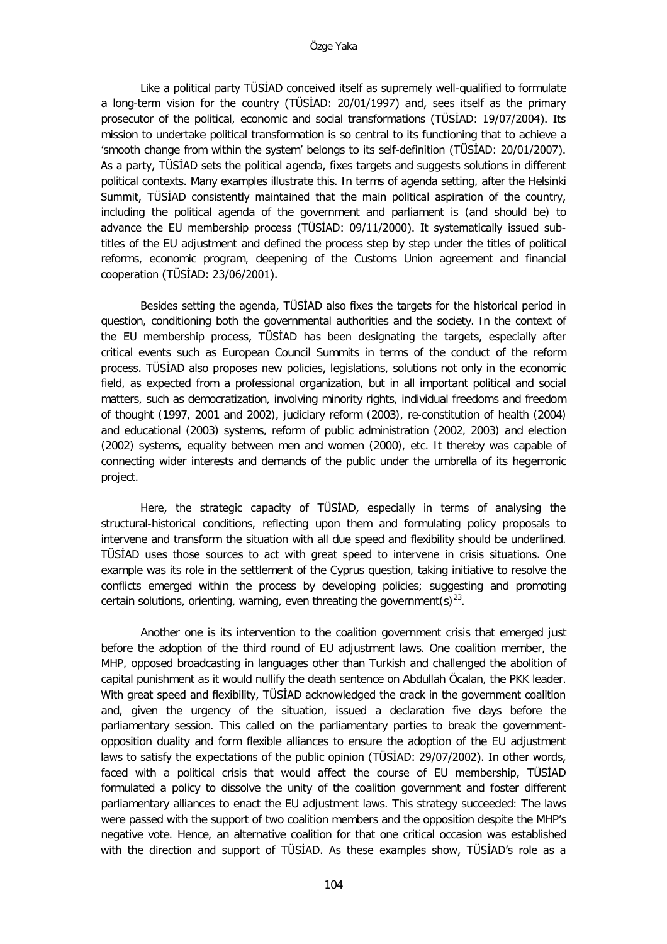Like a political party TÜSİAD conceived itself as supremely well-qualified to formulate a long-term vision for the country (TÜSİAD: 20/01/1997) and, sees itself as the primary prosecutor of the political, economic and social transformations (TÜSİAD: 19/07/2004). Its mission to undertake political transformation is so central to its functioning that to achieve a 'smooth change from within the system' belongs to its self-definition (TÜSİAD: 20/01/2007). As a party, TÜSİAD sets the political agenda, fixes targets and suggests solutions in different political contexts. Many examples illustrate this. In terms of agenda setting, after the Helsinki Summit, TÜSİAD consistently maintained that the main political aspiration of the country, including the political agenda of the government and parliament is (and should be) to advance the EU membership process (TÜSİAD: 09/11/2000). It systematically issued subtitles of the EU adjustment and defined the process step by step under the titles of political reforms, economic program, deepening of the Customs Union agreement and financial cooperation (TÜSİAD: 23/06/2001).

Besides setting the agenda, TÜSİAD also fixes the targets for the historical period in question, conditioning both the governmental authorities and the society. In the context of the EU membership process, TÜSİAD has been designating the targets, especially after critical events such as European Council Summits in terms of the conduct of the reform process. TÜSİAD also proposes new policies, legislations, solutions not only in the economic field, as expected from a professional organization, but in all important political and social matters, such as democratization, involving minority rights, individual freedoms and freedom of thought (1997, 2001 and 2002), judiciary reform (2003), re-constitution of health (2004) and educational (2003) systems, reform of public administration (2002, 2003) and election (2002) systems, equality between men and women (2000), etc. It thereby was capable of connecting wider interests and demands of the public under the umbrella of its hegemonic project.

Here, the strategic capacity of TÜSİAD, especially in terms of analysing the structural-historical conditions, reflecting upon them and formulating policy proposals to intervene and transform the situation with all due speed and flexibility should be underlined. TÜSİAD uses those sources to act with great speed to intervene in crisis situations. One example was its role in the settlement of the Cyprus question, taking initiative to resolve the conflicts emerged within the process by developing policies; suggesting and promoting certain solutions, orienting, warning, even threating the government(s)<sup>23</sup>.

Another one is its intervention to the coalition government crisis that emerged just before the adoption of the third round of EU adjustment laws. One coalition member, the MHP, opposed broadcasting in languages other than Turkish and challenged the abolition of capital punishment as it would nullify the death sentence on Abdullah Öcalan, the PKK leader. With great speed and flexibility, TÜSİAD acknowledged the crack in the government coalition and, given the urgency of the situation, issued a declaration five days before the parliamentary session. This called on the parliamentary parties to break the governmentopposition duality and form flexible alliances to ensure the adoption of the EU adjustment laws to satisfy the expectations of the public opinion (TÜSİAD: 29/07/2002). In other words, faced with a political crisis that would affect the course of EU membership, TÜSİAD formulated a policy to dissolve the unity of the coalition government and foster different parliamentary alliances to enact the EU adjustment laws. This strategy succeeded: The laws were passed with the support of two coalition members and the opposition despite the MHP's negative vote. Hence, an alternative coalition for that one critical occasion was established with the direction and support of TÜSİAD. As these examples show, TÜSİAD's role as a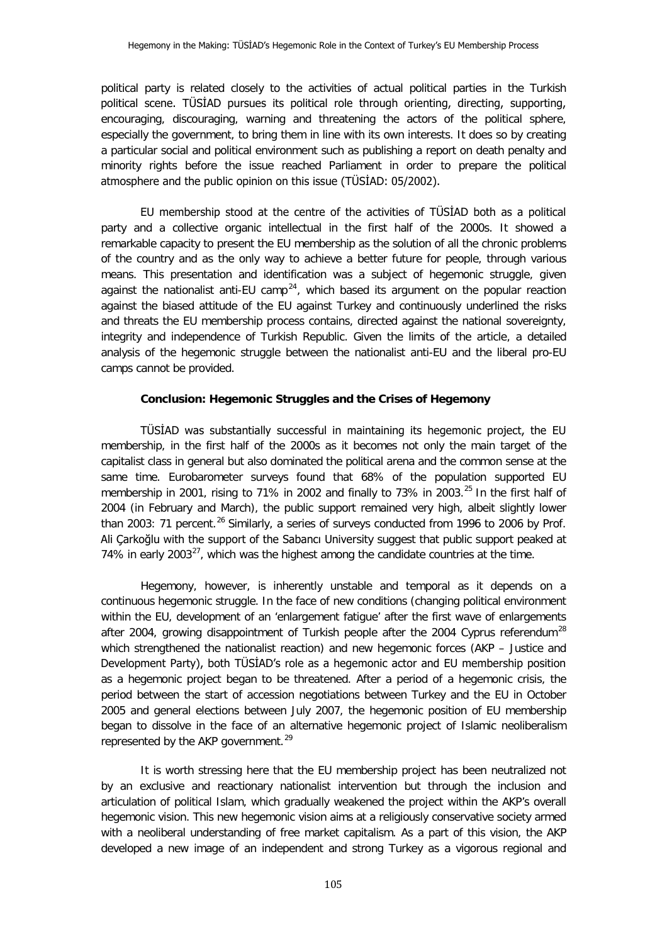political party is related closely to the activities of actual political parties in the Turkish political scene. TÜSİAD pursues its political role through orienting, directing, supporting, encouraging, discouraging, warning and threatening the actors of the political sphere, especially the government, to bring them in line with its own interests. It does so by creating a particular social and political environment such as publishing a report on death penalty and minority rights before the issue reached Parliament in order to prepare the political atmosphere and the public opinion on this issue (TÜSİAD: 05/2002).

EU membership stood at the centre of the activities of TÜSİAD both as a political party and a collective organic intellectual in the first half of the 2000s. It showed a remarkable capacity to present the EU membership as the solution of all the chronic problems of the country and as the only way to achieve a better future for people, through various means. This presentation and identification was a subject of hegemonic struggle, given against the nationalist anti-EU camp<sup>[24](#page-23-11)</sup>, which based its argument on the popular reaction against the biased attitude of the EU against Turkey and continuously underlined the risks and threats the EU membership process contains, directed against the national sovereignty, integrity and independence of Turkish Republic. Given the limits of the article, a detailed analysis of the hegemonic struggle between the nationalist anti-EU and the liberal pro-EU camps cannot be provided.

### **Conclusion: Hegemonic Struggles and the Crises of Hegemony**

TÜSİAD was substantially successful in maintaining its hegemonic project, the EU membership, in the first half of the 2000s as it becomes not only the main target of the capitalist class in general but also dominated the political arena and the common sense at the same time. Eurobarometer surveys found that 68% of the population supported EU membership in 2001, rising to 71% in 2002 and finally to 73% in 2003.<sup>[25](#page-23-12)</sup> In the first half of 2004 (in February and March), the public support remained very high, albeit slightly lower than 2003: 71 percent.<sup>[26](#page-23-13)</sup> Similarly, a series of surveys conducted from 1996 to 2006 by Prof. Ali Çarkoğlu with the support of the Sabancı University suggest that public support peaked at 74% in early 2003 $^{27}$ , which was the highest among the candidate countries at the time.

Hegemony, however, is inherently unstable and temporal as it depends on a continuous hegemonic struggle. In the face of new conditions (changing political environment within the EU, development of an 'enlargement fatigue' after the first wave of enlargements after 2004, growing disappointment of Turkish people after the 2004 Cyprus referendum<sup>[28](#page-23-15)</sup> which strengthened the nationalist reaction) and new hegemonic forces (AKP – Justice and Development Party), both TÜSİAD's role as a hegemonic actor and EU membership position as a hegemonic project began to be threatened. After a period of a hegemonic crisis, the period between the start of accession negotiations between Turkey and the EU in October 2005 and general elections between July 2007, the hegemonic position of EU membership began to dissolve in the face of an alternative hegemonic project of Islamic neoliberalism represented by the AKP government.<sup>[29](#page-23-16)</sup>

It is worth stressing here that the EU membership project has been neutralized not by an exclusive and reactionary nationalist intervention but through the inclusion and articulation of political Islam, which gradually weakened the project within the AKP's overall hegemonic vision. This new hegemonic vision aims at a religiously conservative society armed with a neoliberal understanding of free market capitalism. As a part of this vision, the AKP developed a new image of an independent and strong Turkey as a vigorous regional and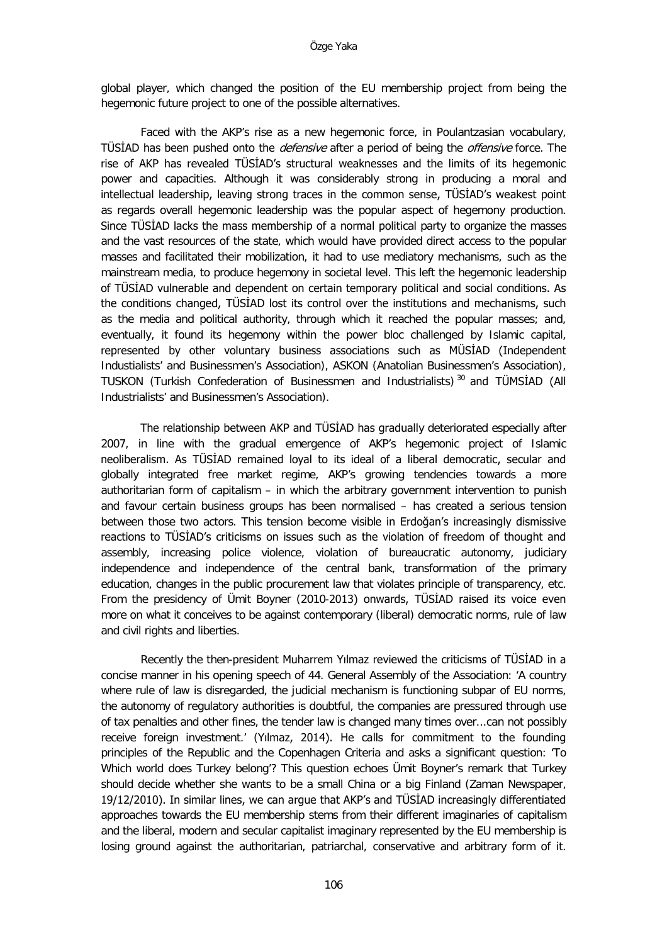global player, which changed the position of the EU membership project from being the hegemonic future project to one of the possible alternatives.

Faced with the AKP's rise as a new hegemonic force, in Poulantzasian vocabulary, TÜSIAD has been pushed onto the *defensive* after a period of being the *offensive* force. The rise of AKP has revealed TÜSİAD's structural weaknesses and the limits of its hegemonic power and capacities. Although it was considerably strong in producing a moral and intellectual leadership, leaving strong traces in the common sense, TÜSİAD's weakest point as regards overall hegemonic leadership was the popular aspect of hegemony production. Since TÜSİAD lacks the mass membership of a normal political party to organize the masses and the vast resources of the state, which would have provided direct access to the popular masses and facilitated their mobilization, it had to use mediatory mechanisms, such as the mainstream media, to produce hegemony in societal level. This left the hegemonic leadership of TÜSİAD vulnerable and dependent on certain temporary political and social conditions. As the conditions changed, TÜSİAD lost its control over the institutions and mechanisms, such as the media and political authority, through which it reached the popular masses; and, eventually, it found its hegemony within the power bloc challenged by Islamic capital, represented by other voluntary business associations such as MÜSİAD (Independent Industialists' and Businessmen's Association), ASKON (Anatolian Businessmen's Association), TUSKON (Turkish Confederation of Businessmen and Industrialists) [30](#page-23-17) and TÜMSİAD (All Industrialists' and Businessmen's Association).

The relationship between AKP and TÜSİAD has gradually deteriorated especially after 2007, in line with the gradual emergence of AKP's hegemonic project of Islamic neoliberalism. As TÜSİAD remained loyal to its ideal of a liberal democratic, secular and globally integrated free market regime, AKP's growing tendencies towards a more authoritarian form of capitalism – in which the arbitrary government intervention to punish and favour certain business groups has been normalised – has created a serious tension between those two actors. This tension become visible in Erdoğan's increasingly dismissive reactions to TÜSİAD's criticisms on issues such as the violation of freedom of thought and assembly, increasing police violence, violation of bureaucratic autonomy, judiciary independence and independence of the central bank, transformation of the primary education, changes in the public procurement law that violates principle of transparency, etc. From the presidency of Ümit Boyner (2010-2013) onwards, TÜSİAD raised its voice even more on what it conceives to be against contemporary (liberal) democratic norms, rule of law and civil rights and liberties.

Recently the then-president Muharrem Yılmaz reviewed the criticisms of TÜSİAD in a concise manner in his opening speech of 44. General Assembly of the Association: 'A country where rule of law is disregarded, the judicial mechanism is functioning subpar of EU norms, the autonomy of regulatory authorities is doubtful, the companies are pressured through use of tax penalties and other fines, the tender law is changed many times over...can not possibly receive foreign investment.' (Yılmaz, 2014). He calls for commitment to the founding principles of the Republic and the Copenhagen Criteria and asks a significant question: 'To Which world does Turkey belong'? This question echoes Ümit Boyner's remark that Turkey should decide whether she wants to be a small China or a big Finland (Zaman Newspaper, 19/12/2010). In similar lines, we can argue that AKP's and TÜSİAD increasingly differentiated approaches towards the EU membership stems from their different imaginaries of capitalism and the liberal, modern and secular capitalist imaginary represented by the EU membership is losing ground against the authoritarian, patriarchal, conservative and arbitrary form of it.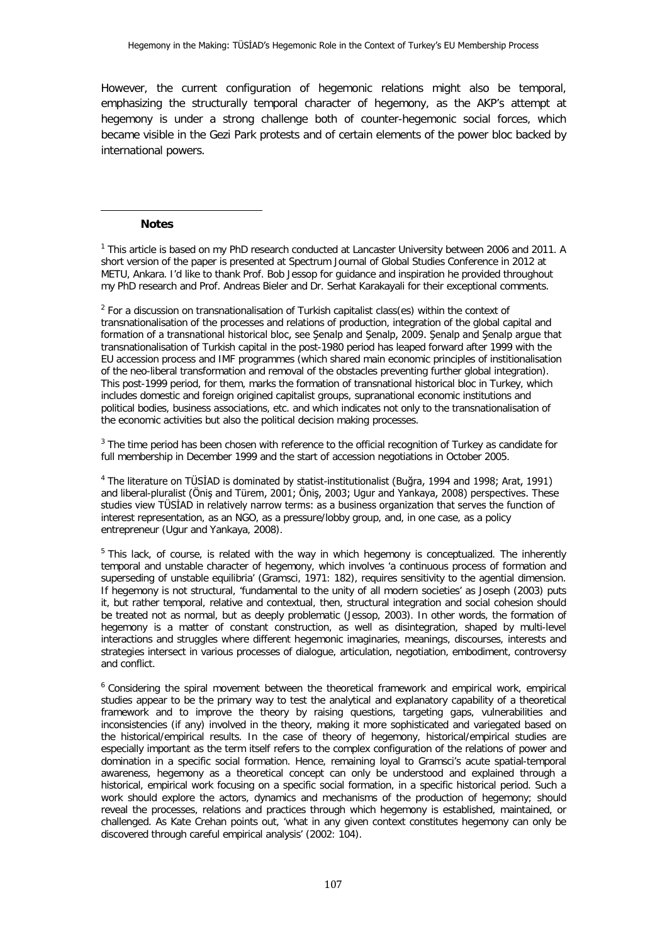However, the current configuration of hegemonic relations might also be temporal, emphasizing the structurally temporal character of hegemony, as the AKP's attempt at hegemony is under a strong challenge both of counter-hegemonic social forces, which became visible in the Gezi Park protests and of certain elements of the power bloc backed by international powers.

#### **Notes**

j

<sup>1</sup> This article is based on my PhD research conducted at Lancaster University between 2006 and 2011. A short version of the paper is presented at Spectrum Journal of Global Studies Conference in 2012 at METU, Ankara. I'd like to thank Prof. Bob Jessop for guidance and inspiration he provided throughout my PhD research and Prof. Andreas Bieler and Dr. Serhat Karakayali for their exceptional comments.

<sup>2</sup> For a discussion on transnationalisation of Turkish capitalist class(es) within the context of transnationalisation of the processes and relations of production, integration of the global capital and formation of a transnational historical bloc, see Şenalp and Şenalp, 2009. Şenalp and Şenalp argue that transnationalisation of Turkish capital in the post-1980 period has leaped forward after 1999 with the EU accession process and IMF programmes (which shared main economic principles of institionalisation of the neo-liberal transformation and removal of the obstacles preventing further global integration). This post-1999 period, for them, marks the formation of transnational historical bloc in Turkey, which includes domestic and foreign origined capitalist groups, supranational economic institutions and political bodies, business associations, etc. and which indicates not only to the transnationalisation of the economic activities but also the political decision making processes.

<sup>3</sup> The time period has been chosen with reference to the official recognition of Turkey as candidate for full membership in December 1999 and the start of accession negotiations in October 2005.

<sup>4</sup> The literature on TÜSİAD is dominated by statist-institutionalist (Buğra, 1994 and 1998; Arat, 1991) and liberal-pluralist (Öniş and Türem, 2001; Öniş, 2003; Ugur and Yankaya, 2008) perspectives. These studies view TÜSİAD in relatively narrow terms: as a business organization that serves the function of interest representation, as an NGO, as a pressure/lobby group, and, in one case, as a policy entrepreneur (Ugur and Yankaya, 2008).

<sup>5</sup> This lack, of course, is related with the way in which hegemony is conceptualized. The inherently temporal and unstable character of hegemony, which involves 'a continuous process of formation and superseding of unstable equilibria' (Gramsci, 1971: 182), requires sensitivity to the agential dimension. If hegemony is not structural, 'fundamental to the unity of all modern societies' as Joseph (2003) puts it, but rather temporal, relative and contextual, then, structural integration and social cohesion should be treated not as normal, but as deeply problematic (Jessop, 2003). In other words, the formation of hegemony is a matter of constant construction, as well as disintegration, shaped by multi-level interactions and struggles where different hegemonic imaginaries, meanings, discourses, interests and strategies intersect in various processes of dialogue, articulation, negotiation, embodiment, controversy and conflict.

<sup>6</sup> Considering the spiral movement between the theoretical framework and empirical work, empirical studies appear to be the primary way to test the analytical and explanatory capability of a theoretical framework and to improve the theory by raising questions, targeting gaps, vulnerabilities and inconsistencies (if any) involved in the theory, making it more sophisticated and variegated based on the historical/empirical results. In the case of theory of hegemony, historical/empirical studies are especially important as the term itself refers to the complex configuration of the relations of power and domination in a specific social formation. Hence, remaining loyal to Gramsci's acute spatial-temporal awareness, hegemony as a theoretical concept can only be understood and explained through a historical, empirical work focusing on a specific social formation, in a specific historical period. Such a work should explore the actors, dynamics and mechanisms of the production of hegemony; should reveal the processes, relations and practices through which hegemony is established, maintained, or challenged. As Kate Crehan points out, 'what in any given context constitutes hegemony can only be discovered through careful empirical analysis' (2002: 104).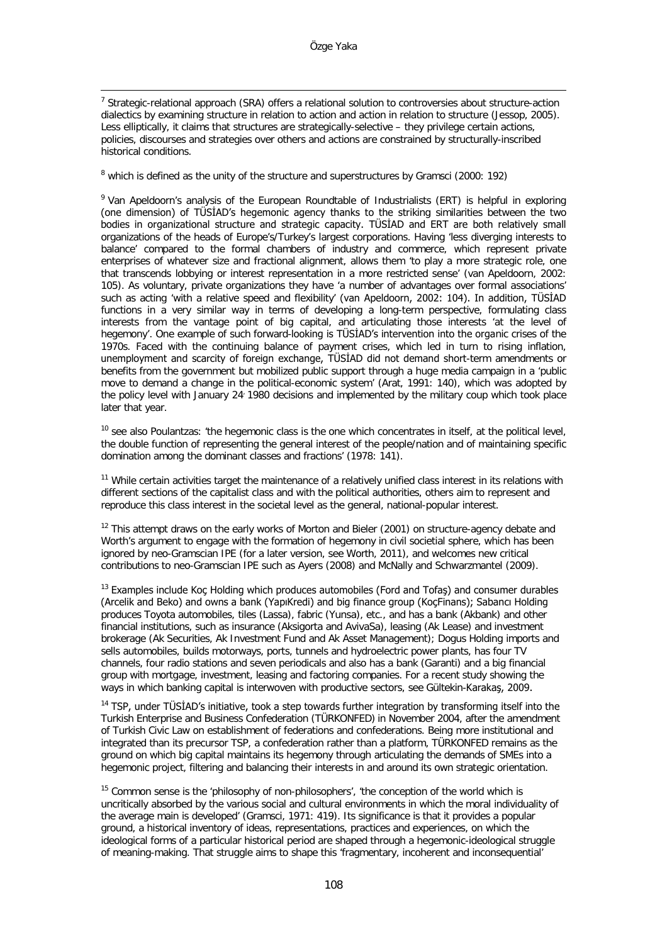<sup>7</sup> Strategic-relational approach (SRA) offers a relational solution to controversies about structure-action dialectics by examining structure in relation to action and action in relation to structure (Jessop, 2005). Less elliptically, it claims that structures are strategically-selective – they privilege certain actions, policies, discourses and strategies over others and actions are constrained by structurally-inscribed historical conditions.

<sup>8</sup> which is defined as the unity of the structure and superstructures by Gramsci (2000: 192)

<span id="page-17-1"></span><span id="page-17-0"></span><sup>9</sup> Van Apeldoorn's analysis of the European Roundtable of Industrialists (ERT) is helpful in exploring (one dimension) of TÜSİAD's hegemonic agency thanks to the striking similarities between the two bodies in organizational structure and strategic capacity. TÜSİAD and ERT are both relatively small organizations of the heads of Europe's/Turkey's largest corporations. Having 'less diverging interests to balance' compared to the formal chambers of industry and commerce, which represent private enterprises of whatever size and fractional alignment, allows them 'to play a more strategic role, one that transcends lobbying or interest representation in a more restricted sense' (van Apeldoorn, 2002: 105). As voluntary, private organizations they have 'a number of advantages over formal associations' such as acting 'with a relative speed and flexibility' (van Apeldoorn, 2002: 104). In addition, TÜSİAD functions in a very similar way in terms of developing a long-term perspective, formulating class interests from the vantage point of big capital, and articulating those interests 'at the level of hegemony'. One example of such forward-looking is TÜSİAD's intervention into the organic crises of the 1970s. Faced with the continuing balance of payment crises, which led in turn to rising inflation, unemployment and scarcity of foreign exchange, TÜSİAD did not demand short-term amendments or benefits from the government but mobilized public support through a huge media campaign in a 'public move to demand a change in the political-economic system' (Arat, 1991: 140), which was adopted by the policy level with January 24: 1980 decisions and implemented by the military coup which took place later that year.

 $10$  see also Poulantzas: 'the hegemonic class is the one which concentrates in itself, at the political level, the double function of representing the general interest of the people/nation and of maintaining specific domination among the dominant classes and fractions' (1978: 141).

<sup>11</sup> While certain activities target the maintenance of a relatively unified class interest in its relations with different sections of the capitalist class and with the political authorities, others aim to represent and reproduce this class interest in the societal level as the general, national-popular interest.

 $12$  This attempt draws on the early works of Morton and Bieler (2001) on structure-agency debate and Worth's argument to engage with the formation of hegemony in civil societial sphere, which has been ignored by neo-Gramscian IPE (for a later version, see Worth, 2011), and welcomes new critical contributions to neo-Gramscian IPE such as Ayers (2008) and McNally and Schwarzmantel (2009).

 $13$  Examples include Koc Holding which produces automobiles (Ford and Tofas) and consumer durables (Arcelik and Beko) and owns a bank (YapıKredi) and big finance group (KoçFinans); Sabancı Holding produces Toyota automobiles, tiles (Lassa), fabric (Yunsa), etc., and has a bank (Akbank) and other financial institutions, such as insurance (Aksigorta and AvivaSa), leasing (Ak Lease) and investment brokerage (Ak Securities, Ak Investment Fund and Ak Asset Management); Dogus Holding imports and sells automobiles, builds motorways, ports, tunnels and hydroelectric power plants, has four TV channels, four radio stations and seven periodicals and also has a bank (Garanti) and a big financial group with mortgage, investment, leasing and factoring companies. For a recent study showing the ways in which banking capital is interwoven with productive sectors, see Gültekin-Karakaş, 2009.

 $14$  TSP, under TÜSİAD's initiative, took a step towards further integration by transforming itself into the Turkish Enterprise and Business Confederation (TÜRKONFED) in November 2004, after the amendment of Turkish Civic Law on establishment of federations and confederations. Being more institutional and integrated than its precursor TSP, a confederation rather than a platform, TÜRKONFED remains as the ground on which big capital maintains its hegemony through articulating the demands of SMEs into a hegemonic project, filtering and balancing their interests in and around its own strategic orientation.

<sup>15</sup> Common sense is the 'philosophy of non-philosophers', 'the conception of the world which is uncritically absorbed by the various social and cultural environments in which the moral individuality of the average main is developed' (Gramsci, 1971: 419). Its significance is that it provides a popular ground, a historical inventory of ideas, representations, practices and experiences, on which the ideological forms of a particular historical period are shaped through a hegemonic-ideological struggle of meaning-making. That struggle aims to shape this 'fragmentary, incoherent and inconsequential'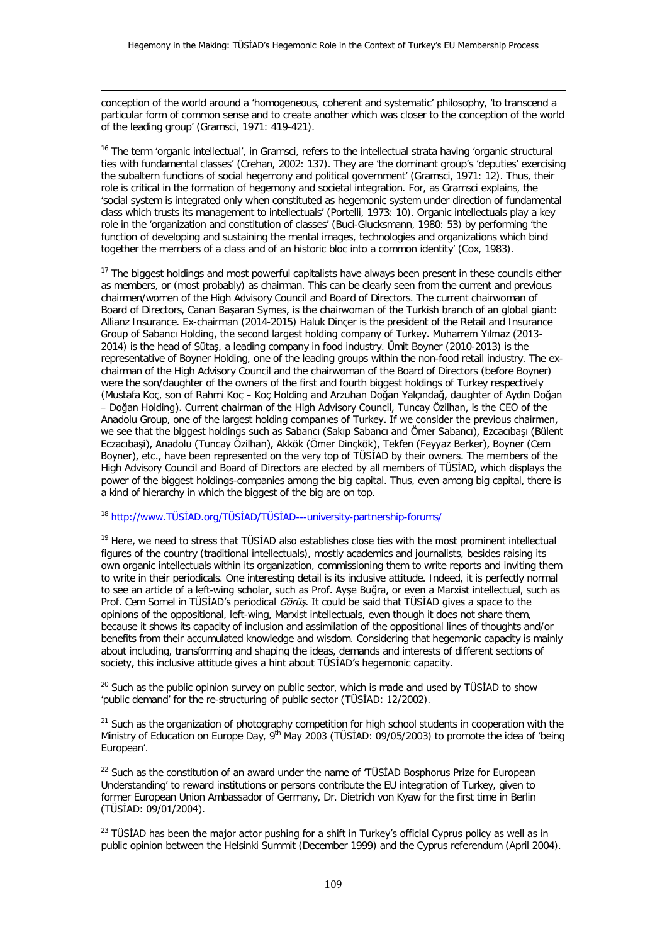conception of the world around a 'homogeneous, coherent and systematic' philosophy, 'to transcend a particular form of common sense and to create another which was closer to the conception of the world of the leading group' (Gramsci, 1971: 419-421).

<sup>16</sup> The term 'organic intellectual', in Gramsci, refers to the intellectual strata having 'organic structural ties with fundamental classes' (Crehan, 2002: 137). They are 'the dominant group's 'deputies' exercising the subaltern functions of social hegemony and political government' (Gramsci, 1971: 12). Thus, their role is critical in the formation of hegemony and societal integration. For, as Gramsci explains, the 'social system is integrated only when constituted as hegemonic system under direction of fundamental class which trusts its management to intellectuals' (Portelli, 1973: 10). Organic intellectuals play a key role in the 'organization and constitution of classes' (Buci-Glucksmann, 1980: 53) by performing 'the function of developing and sustaining the mental images, technologies and organizations which bind together the members of a class and of an historic bloc into a common identity' (Cox, 1983).

<sup>17</sup> The biggest holdings and most powerful capitalists have always been present in these councils either as members, or (most probably) as chairman. This can be clearly seen from the current and previous chairmen/women of the High Advisory Council and Board of Directors. The current chairwoman of Board of Directors, Canan Başaran Symes, is the chairwoman of the Turkish branch of an global giant: Allianz Insurance. Ex-chairman (2014-2015) Haluk Dinçer is the president of the Retail and Insurance Group of Sabancı Holding, the second largest holding company of Turkey. Muharrem Yılmaz (2013- 2014) is the head of Sütaş, a leading company in food industry. Ümit Boyner (2010-2013) is the representative of Boyner Holding, one of the leading groups within the non-food retail industry. The exchairman of the High Advisory Council and the chairwoman of the Board of Directors (before Boyner) were the son/daughter of the owners of the first and fourth biggest holdings of Turkey respectively (Mustafa Koç, son of Rahmi Koç – Koç Holding and Arzuhan Doğan Yalçındağ, daughter of Aydın Doğan – Doğan Holding). Current chairman of the High Advisory Council, Tuncay Özilhan, is the CEO of the Anadolu Group, one of the largest holding companıes of Turkey. If we consider the previous chairmen, we see that the biggest holdings such as Sabancı (Sakıp Sabancı and Ömer Sabancı), Ezcacıbaşı (Bülent Eczacıbaşi), Anadolu (Tuncay Özilhan), Akkök (Ömer Dinçkök), Tekfen (Feyyaz Berker), Boyner (Cem Boyner), etc., have been represented on the very top of TÜSİAD by their owners. The members of the High Advisory Council and Board of Directors are elected by all members of TÜSİAD, which displays the power of the biggest holdings-companies among the big capital. Thus, even among big capital, there is a kind of hierarchy in which the biggest of the big are on top.

<span id="page-18-1"></span><span id="page-18-0"></span><sup>18</sup> [http://www.TÜSİAD.org/TÜSİAD/TÜSİAD](http://www.t%C3%BCsi%CC%87ad.org/T%C3%9CS%C4%B0AD/T%C3%9CS%C4%B0AD---university-partnership-forums/)---university-partnership-forums/

<span id="page-18-2"></span><sup>19</sup> Here, we need to stress that TÜSİAD also establishes close ties with the most prominent intellectual figures of the country (traditional intellectuals), mostly academics and journalists, besides raising its own organic intellectuals within its organization, commissioning them to write reports and inviting them to write in their periodicals. One interesting detail is its inclusive attitude. Indeed, it is perfectly normal to see an article of a left-wing scholar, such as Prof. Ayşe Buğra, or even a Marxist intellectual, such as Prof. Cem Somel in TÜSİAD's periodical Görüş. It could be said that TÜSİAD gives a space to the opinions of the oppositional, left-wing, Marxist intellectuals, even though it does not share them, because it shows its capacity of inclusion and assimilation of the oppositional lines of thoughts and/or benefits from their accumulated knowledge and wisdom. Considering that hegemonic capacity is mainly about including, transforming and shaping the ideas, demands and interests of different sections of society, this inclusive attitude gives a hint about TÜSİAD's hegemonic capacity.

<span id="page-18-3"></span> $20$  Such as the public opinion survey on public sector, which is made and used by TÜSİAD to show 'public demand' for the re-structuring of public sector (TÜSİAD: 12/2002).

<sup>21</sup> Such as the organization of photography competition for high school students in cooperation with the Ministry of Education on Europe Day, 9<sup>th</sup> May 2003 (TÜSIAD: 09/05/2003) to promote the idea of 'being European'.

<sup>22</sup> Such as the constitution of an award under the name of 'TÜSİAD Bosphorus Prize for European Understanding' to reward institutions or persons contribute the EU integration of Turkey, given to former European Union Ambassador of Germany, Dr. Dietrich von Kyaw for the first time in Berlin (TÜSİAD: 09/01/2004).

<sup>23</sup> TÜSİAD has been the major actor pushing for a shift in Turkey's official Cyprus policy as well as in public opinion between the Helsinki Summit (December 1999) and the Cyprus referendum (April 2004).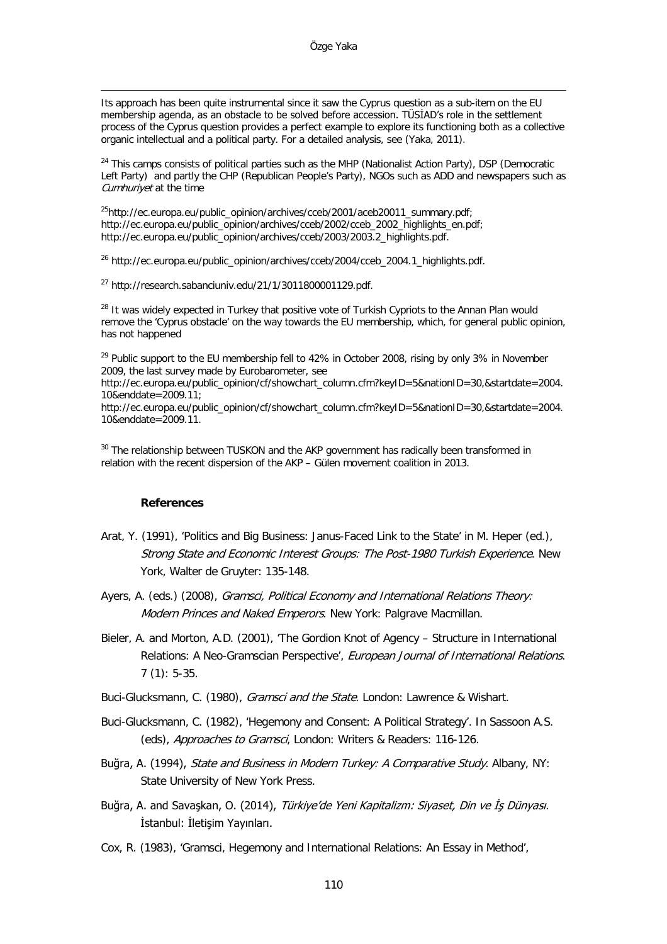<span id="page-19-0"></span>Its approach has been quite instrumental since it saw the Cyprus question as a sub-item on the EU membership agenda, as an obstacle to be solved before accession. TÜSİAD's role in the settlement process of the Cyprus question provides a perfect example to explore its functioning both as a collective organic intellectual and a political party. For a detailed analysis, see (Yaka, 2011).

<sup>24</sup> This camps consists of political parties such as the MHP (Nationalist Action Party), DSP (Democratic Left Party) and partly the CHP (Republican People's Party), NGOs such as ADD and newspapers such as Cumhuriyet at the time

[25http://ec.europa.eu/public\\_opinion/archives/cceb/2001/aceb20011\\_summary.pdf;](http://ec.europa.eu/public_opinion/archives/cceb/2001/aceb20011_summary.pdf) [http://ec.europa.eu/public\\_opinion/archives/cceb/2002/cceb\\_2002\\_highlights\\_en.pdf;](http://ec.europa.eu/public_opinion/archives/cceb/2002/cceb_2002_highlights_en.pdf) [http://ec.europa.eu/public\\_opinion/archives/cceb/2003/2003.2\\_highlights.pdf.](http://ec.europa.eu/public_opinion/archives/cceb/2003/2003.2_highlights.pdf)

<sup>26</sup> http://ec.europa.eu/public\_opinion/archives/cceb/2004/cceb\_2004.1\_highlights.pdf.

<sup>27</sup> [http://research.sabanciuniv.edu/21/1/3011800001129.pdf.](http://research.sabanciuniv.edu/21/1/3011800001129.pdf)

<sup>28</sup> It was widely expected in Turkey that positive vote of Turkish Cypriots to the Annan Plan would remove the 'Cyprus obstacle' on the way towards the EU membership, which, for general public opinion, has not happened

<sup>29</sup> Public support to the EU membership fell to 42% in October 2008, rising by only 3% in November 2009, the last survey made by Eurobarometer, see

[http://ec.europa.eu/public\\_opinion/cf/showchart\\_column.cfm?keyID=5&nationID=30,&startdate=2004.](http://ec.europa.eu/public_opinion/cf/showchart_column.cfm?keyID=5&nationID=30,&startdate=2004.10&enddate=2009.11) [10&enddate=2009.11;](http://ec.europa.eu/public_opinion/cf/showchart_column.cfm?keyID=5&nationID=30,&startdate=2004.10&enddate=2009.11)

[http://ec.europa.eu/public\\_opinion/cf/showchart\\_column.cfm?keyID=5&nationID=30,&startdate=2004.](http://ec.europa.eu/public_opinion/cf/showchart_column.cfm?keyID=5&nationID=30,&startdate=2004.10&enddate=2009.11) [10&enddate=2009.11.](http://ec.europa.eu/public_opinion/cf/showchart_column.cfm?keyID=5&nationID=30,&startdate=2004.10&enddate=2009.11)

<sup>30</sup> The relationship between TUSKON and the AKP government has radically been transformed in relation with the recent dispersion of the AKP – Gülen movement coalition in 2013.

#### **References**

- Arat, Y. (1991), 'Politics and Big Business: Janus-Faced Link to the State' in M. Heper (ed.), Strong State and Economic Interest Groups: The Post-1980 Turkish Experience. New York, Walter de Gruyter: 135-148.
- Ayers, A. (eds.) (2008), Gramsci, Political Economy and International Relations Theory: Modern Princes and Naked Emperors. New York: Palgrave Macmillan.
- Bieler, A. and Morton, A.D. (2001), 'The Gordion Knot of Agency Structure in International Relations: A Neo-Gramscian Perspective', European Journal of International Relations. 7 (1): 5-35.
- Buci-Glucksmann, C. (1980), *Gramsci and the State*. London: Lawrence & Wishart.
- Buci-Glucksmann, C. (1982), 'Hegemony and Consent: A Political Strategy'. In Sassoon A.S. (eds), Approaches to Gramsci, London: Writers & Readers: 116-126.
- Buğra, A. (1994), State and Business in Modern Turkey: A Comparative Study. Albany, NY: State University of New York Press.
- Buğra, A. and Savaşkan, O. (2014), Türkiye'de Yeni Kapitalizm: Siyaset, Din ve İş Dünyası. İstanbul: İletişim Yayınları.
- Cox, R. (1983), 'Gramsci, Hegemony and International Relations: An Essay in Method',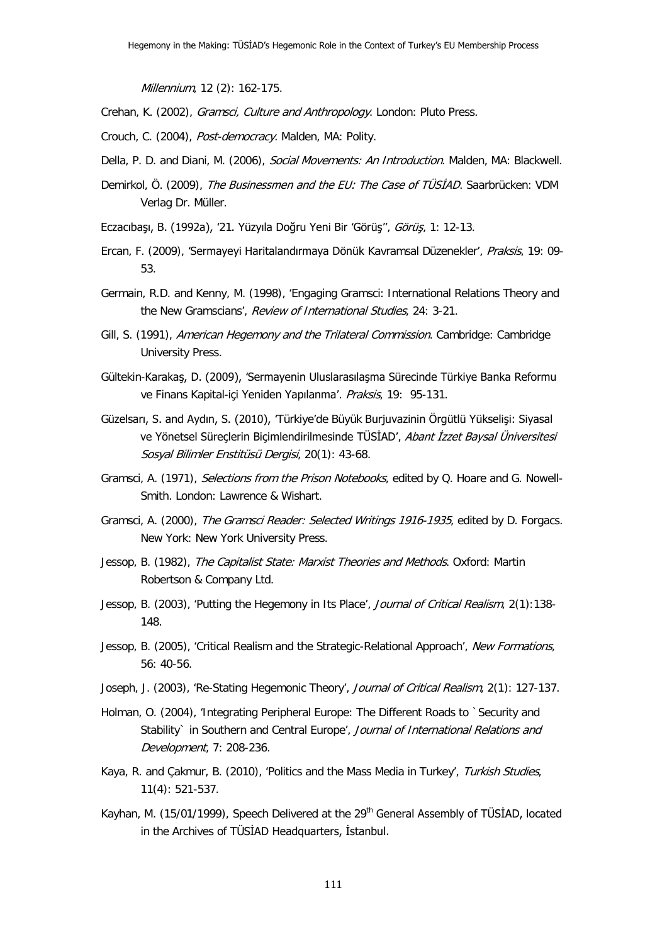Millennium, 12 (2): 162-175.

- Crehan, K. (2002), Gramsci, Culture and Anthropology. London: Pluto Press.
- Crouch, C. (2004), Post-democracy. Malden, MA: Polity.
- Della, P. D. and Diani, M. (2006), Social Movements: An Introduction. Malden, MA: Blackwell.
- <span id="page-20-1"></span><span id="page-20-0"></span>Demirkol, Ö. (2009), The Businessmen and the EU: The Case of TUSIAD. Saarbrücken: VDM Verlag Dr. Müller.
- Eczacıbaşı, B. (1992a), '21. Yüzyıla Doğru Yeni Bir 'Görüş'', Görüş, 1: 12-13.
- Ercan, F. (2009), 'Sermayeyi Haritalandırmaya Dönük Kavramsal Düzenekler', Praksis, 19: 09-53.
- Germain, R.D. and Kenny, M. (1998), 'Engaging Gramsci: International Relations Theory and the New Gramscians', Review of International Studies, 24: 3-21.
- Gill, S. (1991), American Hegemony and the Trilateral Commission. Cambridge: Cambridge University Press.
- Gültekin-Karakaş, D. (2009), 'Sermayenin Uluslarasılaşma Sürecinde Türkiye Banka Reformu ve Finans Kapital-içi Yeniden Yapılanma'. Praksis, 19: 95-131.
- <span id="page-20-2"></span>Güzelsarı, S. and Aydın, S. (2010), 'Türkiye'de Büyük Burjuvazinin Örgütlü Yükselişi: Siyasal ve Yönetsel Süreçlerin Biçimlendirilmesinde TÜSİAD', Abant İzzet Baysal Üniversitesi Sosyal Bilimler Enstitüsü Dergisi, 20(1): 43-68.
- Gramsci, A. (1971), Selections from the Prison Notebooks, edited by Q. Hoare and G. Nowell-Smith. London: Lawrence & Wishart.
- Gramsci, A. (2000), The Gramsci Reader: Selected Writings 1916-1935, edited by D. Forgacs. New York: New York University Press.
- Jessop, B. (1982), The Capitalist State: Marxist Theories and Methods. Oxford: Martin Robertson & Company Ltd.
- Jessop, B. (2003), 'Putting the Hegemony in Its Place', Journal of Critical Realism, 2(1):138-148.
- Jessop, B. (2005), 'Critical Realism and the Strategic-Relational Approach', New Formations, 56: 40-56.
- Joseph, J. (2003), 'Re-Stating Hegemonic Theory', Journal of Critical Realism, 2(1): 127-137.
- Holman, O. (2004), 'Integrating Peripheral Europe: The Different Roads to `Security and Stability` in Southern and Central Europe', Journal of International Relations and Development, 7: 208-236.
- Kaya, R. and Çakmur, B. (2010), 'Politics and the Mass Media in Turkey', Turkish Studies, 11(4): 521-537.
- Kayhan, M. (15/01/1999), Speech Delivered at the 29<sup>th</sup> General Assembly of TÜSİAD, located in the Archives of TÜSİAD Headquarters, İstanbul.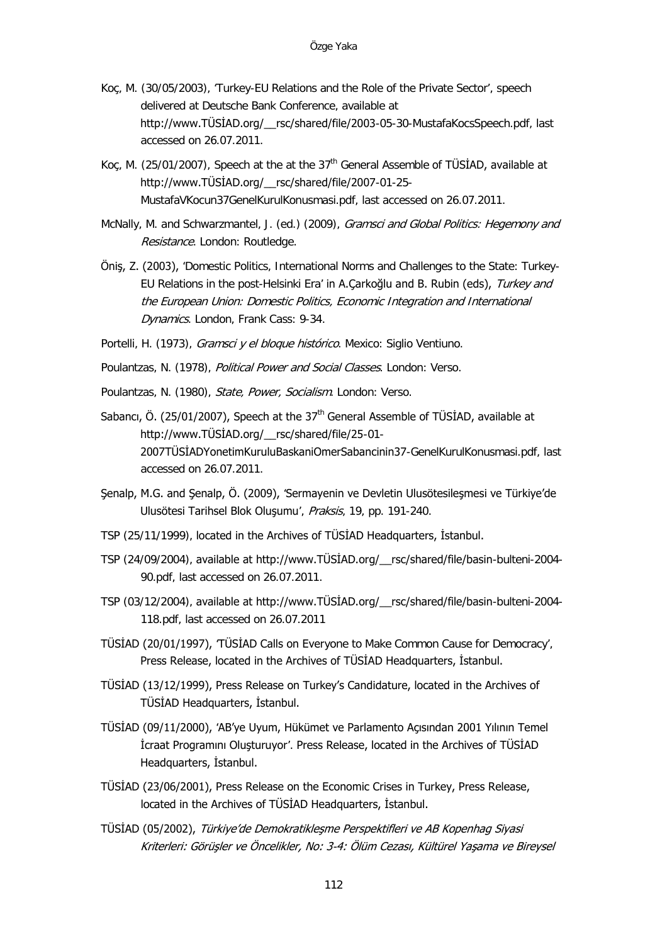- Koç, M. (30/05/2003), 'Turkey-EU Relations and the Role of the Private Sector', speech delivered at Deutsche Bank Conference, available at [http://www.TÜSİAD.org/\\_\\_rsc/shared/file/2003](http://www.tusiad.org/__rsc/shared/file/2003-05-30-MustafaKocsSpeech.pdf)-05-30-MustafaKocsSpeech.pdf, last accessed on 26.07.2011.
- Koç, M. (25/01/2007), Speech at the at the  $37<sup>th</sup>$  General Assemble of TÜSİAD, available at http://www.TÜSİAD.org/\_\_rsc/shared/file/2007-01-25- MustafaVKocun37GenelKurulKonusmasi.pdf, last accessed on 26.07.2011.
- McNally, M. and Schwarzmantel, J. (ed.) (2009), Gramsci and Global Politics: Hegemony and Resistance. London: Routledge.
- Öniş, Z. (2003), 'Domestic Politics, International Norms and Challenges to the State: Turkey-EU Relations in the post-Helsinki Era' in A.Çarkoğlu and B. Rubin (eds), Turkey and the European Union: Domestic Politics, Economic Integration and International Dynamics. London, Frank Cass: 9-34.
- Portelli, H. (1973), *Gramsci y el bloque histórico*. Mexico: Siglio Ventiuno.
- Poulantzas, N. (1978), Political Power and Social Classes. London: Verso.
- Poulantzas, N. (1980), State, Power, Socialism. London: Verso.
- Sabancı, Ö. (25/01/2007), Speech at the 37<sup>th</sup> General Assemble of TÜSİAD, available at http://www.TÜSİAD.org/\_\_rsc/shared/file/25-01- 2007TÜSİADYonetimKuruluBaskaniOmerSabancinin37-GenelKurulKonusmasi.pdf, last accessed on 26.07.2011.
- <span id="page-21-0"></span>Şenalp, M.G. and Şenalp, Ö. (2009), 'Sermayenin ve Devletin Ulusötesileşmesi ve Türkiye'de Ulusötesi Tarihsel Blok Oluşumu', Praksis, 19, pp. 191-240.
- TSP (25/11/1999), located in the Archives of TÜSİAD Headquarters, İstanbul.
- TSP (24/09/2004), available at http://www.TÜSİAD.org/\_\_rsc/shared/file/basin-bulteni-2004- 90.pdf, last accessed on 26.07.2011.
- TSP (03/12/2004), available at http://www.TÜSİAD.org/\_\_rsc/shared/file/basin-bulteni-2004- 118.pdf, last accessed on 26.07.2011
- TÜSİAD (20/01/1997), 'TÜSİAD Calls on Everyone to Make Common Cause for Democracy', Press Release, located in the Archives of TÜSİAD Headquarters, İstanbul.
- TÜSİAD (13/12/1999), Press Release on Turkey's Candidature, located in the Archives of TÜSİAD Headquarters, İstanbul.
- TÜSİAD (09/11/2000), 'AB'ye Uyum, Hükümet ve Parlamento Açısından 2001 Yılının Temel İcraat Programını Oluşturuyor'. Press Release, located in the Archives of TÜSİAD Headquarters, İstanbul.
- TÜSİAD (23/06/2001), Press Release on the Economic Crises in Turkey, Press Release, located in the Archives of TÜSİAD Headquarters, İstanbul.
- TÜSİAD (05/2002), Türkiye'de Demokratikleşme Perspektifleri ve AB Kopenhag Siyasi Kriterleri: Görüşler ve Öncelikler, No: 3-4: Ölüm Cezası, Kültürel Yaşama ve Bireysel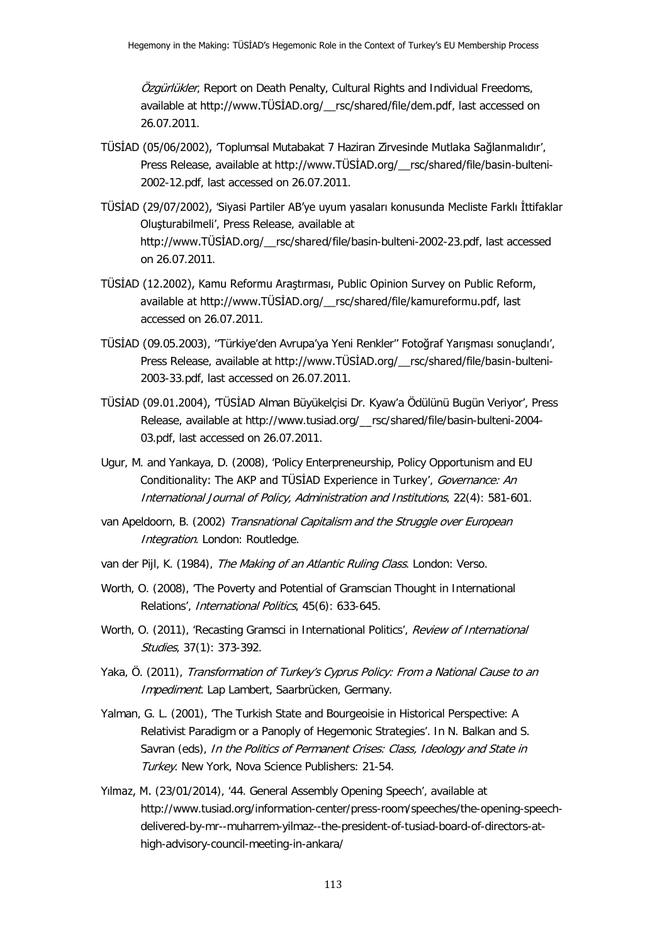Özgürlükler, Report on Death Penalty, Cultural Rights and Individual Freedoms, available at [http://www.TÜSİAD.org/\\_\\_rsc/shared/file/dem.pdf](http://www.tusiad.org/__rsc/shared/file/dem.pdf), last accessed on 26.07.2011.

- TÜSİAD (05/06/2002), 'Toplumsal Mutabakat 7 Haziran Zirvesinde Mutlaka Sağlanmalıdır', Press Release, available at [http://www.TÜSİAD.org/\\_\\_rsc/shared/file/basin](http://www.tusiad.org/__rsc/shared/file/basin-bulteni-2002-12.pdf)-bulteni-[2002-12.pdf,](http://www.tusiad.org/__rsc/shared/file/basin-bulteni-2002-12.pdf) last accessed on 26.07.2011.
- TÜSİAD (29/07/2002), 'Siyasi Partiler AB'ye uyum yasaları konusunda Mecliste Farklı İttifaklar Oluşturabilmeli', Press Release, available at [http://www.TÜSİAD.org/\\_\\_rsc/share](http://www.tusiad.org/__rsc/shared/file/basin-bulteni-2002-23.pdf)d/file/basin-bulteni-2002-23.pdf, last accessed on 26.07.2011.
- TÜSİAD (12.2002), Kamu Reformu Araştırması, Public Opinion Survey on Public Reform, available at http://www.TÜSİAD.org/\_\_rsc/shared/file/kamureformu.pdf, last accessed on 26.07.2011.
- TÜSİAD (09.05.2003), ''Türkiye'den Avrupa'ya Yeni Renkler'' Fotoğraf Yarışması sonuçlandı', Press Release, available at [http://www.TÜSİAD.org/\\_\\_rsc/shared/file/basin](http://www.tusiad.org/__rsc/shared/file/basin-bulteni-2003-33.pdf)-bulteni-[2003-33.pdf,](http://www.tusiad.org/__rsc/shared/file/basin-bulteni-2003-33.pdf) last accessed on 26.07.2011.
- TÜSİAD (09.01.2004), 'TÜSİAD Alman Büyükelçisi Dr. Kyaw'a Ödülünü Bugün Veriyor', Press Release, available at [http://www.tusiad.org/\\_\\_rsc/shared/file/basin-bulteni-2004-](http://www.tusiad.org/__rsc/shared/file/basin-bulteni-2004-03.pdf) [03.pdf,](http://www.tusiad.org/__rsc/shared/file/basin-bulteni-2004-03.pdf) last accessed on 26.07.2011.
- Ugur, M. and Yankaya, D. (2008), 'Policy Enterpreneurship, Policy Opportunism and EU Conditionality: The AKP and TÜSIAD Experience in Turkey', Governance: An International Journal of Policy, Administration and Institutions, 22(4): 581-601.
- <span id="page-22-0"></span>van Apeldoorn, B. (2002) Transnational Capitalism and the Struggle over European Integration. London: Routledge.
- van der Pijl, K. (1984), The Making of an Atlantic Ruling Class. London: Verso.
- Worth, O. (2008), 'The Poverty and Potential of Gramscian Thought in International Relations', International Politics, 45(6): 633-645.
- Worth, O. (2011), 'Recasting Gramsci in International Politics', Review of International Studies, 37(1): 373-392.
- Yaka, Ö. (2011), Transformation of Turkey's Cyprus Policy: From a National Cause to an Impediment. Lap Lambert, Saarbrücken, Germany.
- Yalman, G. L. (2001), 'The Turkish State and Bourgeoisie in Historical Perspective: A Relativist Paradigm or a Panoply of Hegemonic Strategies'. In N. Balkan and S. Savran (eds), In the Politics of Permanent Crises: Class, Ideology and State in Turkey. New York, Nova Science Publishers: 21-54.
- Yılmaz, M. (23/01/2014), '44. General Assembly Opening Speech', available at http://www.tusiad.org/information-center/press-room/speeches/the-opening-speechdelivered-by-mr--muharrem-yilmaz--the-president-of-tusiad-board-of-directors-athigh-advisory-council-meeting-in-ankara/